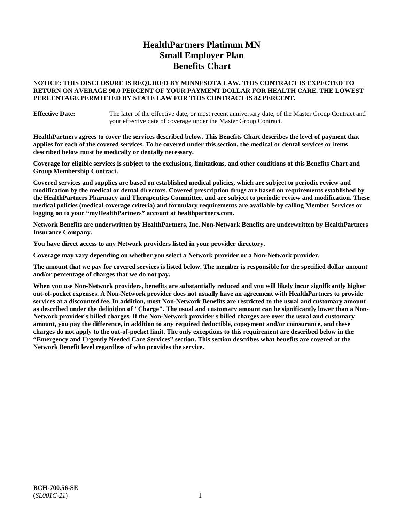# **HealthPartners Platinum MN Small Employer Plan Benefits Chart**

## **NOTICE: THIS DISCLOSURE IS REQUIRED BY MINNESOTA LAW. THIS CONTRACT IS EXPECTED TO RETURN ON AVERAGE 90.0 PERCENT OF YOUR PAYMENT DOLLAR FOR HEALTH CARE. THE LOWEST PERCENTAGE PERMITTED BY STATE LAW FOR THIS CONTRACT IS 82 PERCENT.**

**Effective Date:** The later of the effective date, or most recent anniversary date, of the Master Group Contract and your effective date of coverage under the Master Group Contract.

**HealthPartners agrees to cover the services described below. This Benefits Chart describes the level of payment that applies for each of the covered services. To be covered under this section, the medical or dental services or items described below must be medically or dentally necessary.**

**Coverage for eligible services is subject to the exclusions, limitations, and other conditions of this Benefits Chart and Group Membership Contract.**

**Covered services and supplies are based on established medical policies, which are subject to periodic review and modification by the medical or dental directors. Covered prescription drugs are based on requirements established by the HealthPartners Pharmacy and Therapeutics Committee, and are subject to periodic review and modification. These medical policies (medical coverage criteria) and formulary requirements are available by calling Member Services or logging on to your "myHealthPartners" account at [healthpartners.com.](https://www.healthpartners.com/hp/index.html)**

**Network Benefits are underwritten by HealthPartners, Inc. Non-Network Benefits are underwritten by HealthPartners Insurance Company.** 

**You have direct access to any Network providers listed in your provider directory.**

**Coverage may vary depending on whether you select a Network provider or a Non-Network provider.**

**The amount that we pay for covered services is listed below. The member is responsible for the specified dollar amount and/or percentage of charges that we do not pay.**

**When you use Non-Network providers, benefits are substantially reduced and you will likely incur significantly higher out-of-pocket expenses. A Non-Network provider does not usually have an agreement with HealthPartners to provide services at a discounted fee. In addition, most Non-Network Benefits are restricted to the usual and customary amount as described under the definition of "Charge". The usual and customary amount can be significantly lower than a Non-Network provider's billed charges. If the Non-Network provider's billed charges are over the usual and customary amount, you pay the difference, in addition to any required deductible, copayment and/or coinsurance, and these charges do not apply to the out-of-pocket limit. The only exceptions to this requirement are described below in the "Emergency and Urgently Needed Care Services" section. This section describes what benefits are covered at the Network Benefit level regardless of who provides the service.**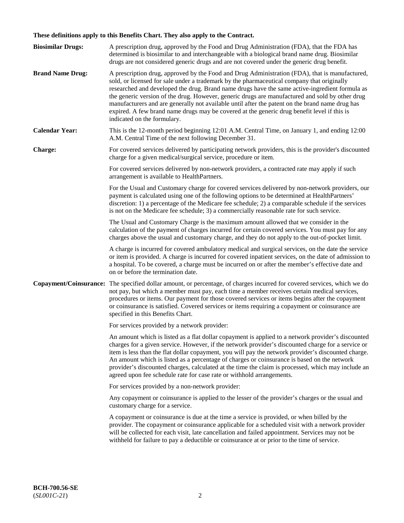# **These definitions apply to this Benefits Chart. They also apply to the Contract.**

| <b>Biosimilar Drugs:</b> | A prescription drug, approved by the Food and Drug Administration (FDA), that the FDA has<br>determined is biosimilar to and interchangeable with a biological brand name drug. Biosimilar<br>drugs are not considered generic drugs and are not covered under the generic drug benefit.                                                                                                                                                                                                                                                                                                                                           |
|--------------------------|------------------------------------------------------------------------------------------------------------------------------------------------------------------------------------------------------------------------------------------------------------------------------------------------------------------------------------------------------------------------------------------------------------------------------------------------------------------------------------------------------------------------------------------------------------------------------------------------------------------------------------|
| <b>Brand Name Drug:</b>  | A prescription drug, approved by the Food and Drug Administration (FDA), that is manufactured,<br>sold, or licensed for sale under a trademark by the pharmaceutical company that originally<br>researched and developed the drug. Brand name drugs have the same active-ingredient formula as<br>the generic version of the drug. However, generic drugs are manufactured and sold by other drug<br>manufacturers and are generally not available until after the patent on the brand name drug has<br>expired. A few brand name drugs may be covered at the generic drug benefit level if this is<br>indicated on the formulary. |
| <b>Calendar Year:</b>    | This is the 12-month period beginning 12:01 A.M. Central Time, on January 1, and ending 12:00<br>A.M. Central Time of the next following December 31.                                                                                                                                                                                                                                                                                                                                                                                                                                                                              |
| <b>Charge:</b>           | For covered services delivered by participating network providers, this is the provider's discounted<br>charge for a given medical/surgical service, procedure or item.                                                                                                                                                                                                                                                                                                                                                                                                                                                            |
|                          | For covered services delivered by non-network providers, a contracted rate may apply if such<br>arrangement is available to HealthPartners.                                                                                                                                                                                                                                                                                                                                                                                                                                                                                        |
|                          | For the Usual and Customary charge for covered services delivered by non-network providers, our<br>payment is calculated using one of the following options to be determined at HealthPartners'<br>discretion: 1) a percentage of the Medicare fee schedule; 2) a comparable schedule if the services<br>is not on the Medicare fee schedule; 3) a commercially reasonable rate for such service.                                                                                                                                                                                                                                  |
|                          | The Usual and Customary Charge is the maximum amount allowed that we consider in the<br>calculation of the payment of charges incurred for certain covered services. You must pay for any<br>charges above the usual and customary charge, and they do not apply to the out-of-pocket limit.                                                                                                                                                                                                                                                                                                                                       |
|                          | A charge is incurred for covered ambulatory medical and surgical services, on the date the service<br>or item is provided. A charge is incurred for covered inpatient services, on the date of admission to<br>a hospital. To be covered, a charge must be incurred on or after the member's effective date and<br>on or before the termination date.                                                                                                                                                                                                                                                                              |
| Copayment/Coinsurance:   | The specified dollar amount, or percentage, of charges incurred for covered services, which we do<br>not pay, but which a member must pay, each time a member receives certain medical services,<br>procedures or items. Our payment for those covered services or items begins after the copayment<br>or coinsurance is satisfied. Covered services or items requiring a copayment or coinsurance are<br>specified in this Benefits Chart.                                                                                                                                                                                        |
|                          | For services provided by a network provider:                                                                                                                                                                                                                                                                                                                                                                                                                                                                                                                                                                                       |
|                          | An amount which is listed as a flat dollar copayment is applied to a network provider's discounted<br>charges for a given service. However, if the network provider's discounted charge for a service or<br>item is less than the flat dollar copayment, you will pay the network provider's discounted charge.<br>An amount which is listed as a percentage of charges or coinsurance is based on the network<br>provider's discounted charges, calculated at the time the claim is processed, which may include an<br>agreed upon fee schedule rate for case rate or withhold arrangements.                                      |
|                          | For services provided by a non-network provider:                                                                                                                                                                                                                                                                                                                                                                                                                                                                                                                                                                                   |
|                          | Any copayment or coinsurance is applied to the lesser of the provider's charges or the usual and<br>customary charge for a service.                                                                                                                                                                                                                                                                                                                                                                                                                                                                                                |
|                          | A copayment or coinsurance is due at the time a service is provided, or when billed by the<br>provider. The copayment or coinsurance applicable for a scheduled visit with a network provider<br>will be collected for each visit, late cancellation and failed appointment. Services may not be<br>withheld for failure to pay a deductible or coinsurance at or prior to the time of service.                                                                                                                                                                                                                                    |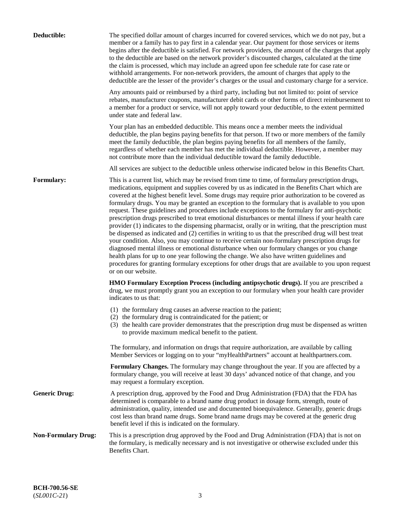| Deductible:                | The specified dollar amount of charges incurred for covered services, which we do not pay, but a<br>member or a family has to pay first in a calendar year. Our payment for those services or items<br>begins after the deductible is satisfied. For network providers, the amount of the charges that apply<br>to the deductible are based on the network provider's discounted charges, calculated at the time<br>the claim is processed, which may include an agreed upon fee schedule rate for case rate or<br>withhold arrangements. For non-network providers, the amount of charges that apply to the<br>deductible are the lesser of the provider's charges or the usual and customary charge for a service.                                                                                                                                                                                                                                                                                                                                                                                                                                                                                                                                             |
|----------------------------|------------------------------------------------------------------------------------------------------------------------------------------------------------------------------------------------------------------------------------------------------------------------------------------------------------------------------------------------------------------------------------------------------------------------------------------------------------------------------------------------------------------------------------------------------------------------------------------------------------------------------------------------------------------------------------------------------------------------------------------------------------------------------------------------------------------------------------------------------------------------------------------------------------------------------------------------------------------------------------------------------------------------------------------------------------------------------------------------------------------------------------------------------------------------------------------------------------------------------------------------------------------|
|                            | Any amounts paid or reimbursed by a third party, including but not limited to: point of service<br>rebates, manufacturer coupons, manufacturer debit cards or other forms of direct reimbursement to<br>a member for a product or service, will not apply toward your deductible, to the extent permitted<br>under state and federal law.                                                                                                                                                                                                                                                                                                                                                                                                                                                                                                                                                                                                                                                                                                                                                                                                                                                                                                                        |
|                            | Your plan has an embedded deductible. This means once a member meets the individual<br>deductible, the plan begins paying benefits for that person. If two or more members of the family<br>meet the family deductible, the plan begins paying benefits for all members of the family,<br>regardless of whether each member has met the individual deductible. However, a member may<br>not contribute more than the individual deductible toward the family deductible.                                                                                                                                                                                                                                                                                                                                                                                                                                                                                                                                                                                                                                                                                                                                                                                         |
|                            | All services are subject to the deductible unless otherwise indicated below in this Benefits Chart.                                                                                                                                                                                                                                                                                                                                                                                                                                                                                                                                                                                                                                                                                                                                                                                                                                                                                                                                                                                                                                                                                                                                                              |
| <b>Formulary:</b>          | This is a current list, which may be revised from time to time, of formulary prescription drugs,<br>medications, equipment and supplies covered by us as indicated in the Benefits Chart which are<br>covered at the highest benefit level. Some drugs may require prior authorization to be covered as<br>formulary drugs. You may be granted an exception to the formulary that is available to you upon<br>request. These guidelines and procedures include exceptions to the formulary for anti-psychotic<br>prescription drugs prescribed to treat emotional disturbances or mental illness if your health care<br>provider (1) indicates to the dispensing pharmacist, orally or in writing, that the prescription must<br>be dispensed as indicated and (2) certifies in writing to us that the prescribed drug will best treat<br>your condition. Also, you may continue to receive certain non-formulary prescription drugs for<br>diagnosed mental illness or emotional disturbance when our formulary changes or you change<br>health plans for up to one year following the change. We also have written guidelines and<br>procedures for granting formulary exceptions for other drugs that are available to you upon request<br>or on our website. |
|                            | <b>HMO Formulary Exception Process (including antipsychotic drugs).</b> If you are prescribed a<br>drug, we must promptly grant you an exception to our formulary when your health care provider<br>indicates to us that:                                                                                                                                                                                                                                                                                                                                                                                                                                                                                                                                                                                                                                                                                                                                                                                                                                                                                                                                                                                                                                        |
|                            | (1) the formulary drug causes an adverse reaction to the patient;<br>(2) the formulary drug is contraindicated for the patient; or<br>(3) the health care provider demonstrates that the prescription drug must be dispensed as written<br>to provide maximum medical benefit to the patient.                                                                                                                                                                                                                                                                                                                                                                                                                                                                                                                                                                                                                                                                                                                                                                                                                                                                                                                                                                    |
|                            | The formulary, and information on drugs that require authorization, are available by calling<br>Member Services or logging on to your "myHealthPartners" account at healthpartners.com.                                                                                                                                                                                                                                                                                                                                                                                                                                                                                                                                                                                                                                                                                                                                                                                                                                                                                                                                                                                                                                                                          |
|                            | Formulary Changes. The formulary may change throughout the year. If you are affected by a<br>formulary change, you will receive at least 30 days' advanced notice of that change, and you<br>may request a formulary exception.                                                                                                                                                                                                                                                                                                                                                                                                                                                                                                                                                                                                                                                                                                                                                                                                                                                                                                                                                                                                                                  |
| <b>Generic Drug:</b>       | A prescription drug, approved by the Food and Drug Administration (FDA) that the FDA has<br>determined is comparable to a brand name drug product in dosage form, strength, route of<br>administration, quality, intended use and documented bioequivalence. Generally, generic drugs<br>cost less than brand name drugs. Some brand name drugs may be covered at the generic drug<br>benefit level if this is indicated on the formulary.                                                                                                                                                                                                                                                                                                                                                                                                                                                                                                                                                                                                                                                                                                                                                                                                                       |
| <b>Non-Formulary Drug:</b> | This is a prescription drug approved by the Food and Drug Administration (FDA) that is not on<br>the formulary, is medically necessary and is not investigative or otherwise excluded under this<br>Benefits Chart.                                                                                                                                                                                                                                                                                                                                                                                                                                                                                                                                                                                                                                                                                                                                                                                                                                                                                                                                                                                                                                              |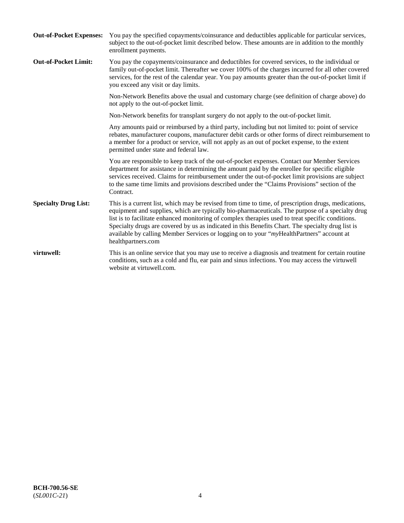| <b>Out-of-Pocket Expenses:</b> | You pay the specified copayments/coinsurance and deductibles applicable for particular services,<br>subject to the out-of-pocket limit described below. These amounts are in addition to the monthly<br>enrollment payments.                                                                                                                                                                                                                                                                                                        |
|--------------------------------|-------------------------------------------------------------------------------------------------------------------------------------------------------------------------------------------------------------------------------------------------------------------------------------------------------------------------------------------------------------------------------------------------------------------------------------------------------------------------------------------------------------------------------------|
| <b>Out-of-Pocket Limit:</b>    | You pay the copayments/coinsurance and deductibles for covered services, to the individual or<br>family out-of-pocket limit. Thereafter we cover 100% of the charges incurred for all other covered<br>services, for the rest of the calendar year. You pay amounts greater than the out-of-pocket limit if<br>you exceed any visit or day limits.                                                                                                                                                                                  |
|                                | Non-Network Benefits above the usual and customary charge (see definition of charge above) do<br>not apply to the out-of-pocket limit.                                                                                                                                                                                                                                                                                                                                                                                              |
|                                | Non-Network benefits for transplant surgery do not apply to the out-of-pocket limit.                                                                                                                                                                                                                                                                                                                                                                                                                                                |
|                                | Any amounts paid or reimbursed by a third party, including but not limited to: point of service<br>rebates, manufacturer coupons, manufacturer debit cards or other forms of direct reimbursement to<br>a member for a product or service, will not apply as an out of pocket expense, to the extent<br>permitted under state and federal law.                                                                                                                                                                                      |
|                                | You are responsible to keep track of the out-of-pocket expenses. Contact our Member Services<br>department for assistance in determining the amount paid by the enrollee for specific eligible<br>services received. Claims for reimbursement under the out-of-pocket limit provisions are subject<br>to the same time limits and provisions described under the "Claims Provisions" section of the<br>Contract.                                                                                                                    |
| <b>Specialty Drug List:</b>    | This is a current list, which may be revised from time to time, of prescription drugs, medications,<br>equipment and supplies, which are typically bio-pharmaceuticals. The purpose of a specialty drug<br>list is to facilitate enhanced monitoring of complex therapies used to treat specific conditions.<br>Specialty drugs are covered by us as indicated in this Benefits Chart. The specialty drug list is<br>available by calling Member Services or logging on to your "myHealthPartners" account at<br>healthpartners.com |
| virtuwell:                     | This is an online service that you may use to receive a diagnosis and treatment for certain routine<br>conditions, such as a cold and flu, ear pain and sinus infections. You may access the virtuwell<br>website at virtuwell.com.                                                                                                                                                                                                                                                                                                 |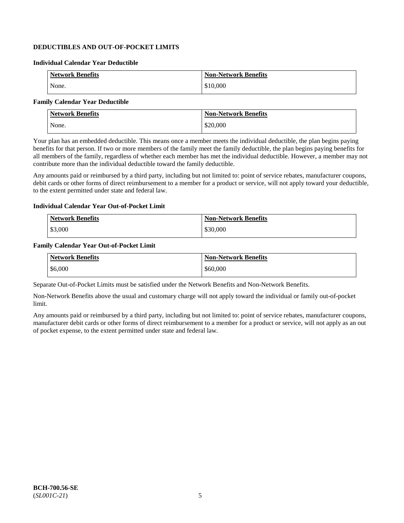# **DEDUCTIBLES AND OUT-OF-POCKET LIMITS**

#### **Individual Calendar Year Deductible**

| <b>Network Benefits</b> | <b>Non-Network Benefits</b> |
|-------------------------|-----------------------------|
| None.                   | \$10,000                    |

## **Family Calendar Year Deductible**

| <b>Network Benefits</b> | <b>Non-Network Benefits</b> |
|-------------------------|-----------------------------|
| None.                   | \$20,000                    |

Your plan has an embedded deductible. This means once a member meets the individual deductible, the plan begins paying benefits for that person. If two or more members of the family meet the family deductible, the plan begins paying benefits for all members of the family, regardless of whether each member has met the individual deductible. However, a member may not contribute more than the individual deductible toward the family deductible.

Any amounts paid or reimbursed by a third party, including but not limited to: point of service rebates, manufacturer coupons, debit cards or other forms of direct reimbursement to a member for a product or service, will not apply toward your deductible, to the extent permitted under state and federal law.

#### **Individual Calendar Year Out-of-Pocket Limit**

| <b>Network Benefits</b> | <b>Non-Network Benefits</b> |
|-------------------------|-----------------------------|
| $\frac{$3,000}{ }$      | \$30,000                    |

#### **Family Calendar Year Out-of-Pocket Limit**

| <b>Network Benefits</b> | <b>Non-Network Benefits</b> |
|-------------------------|-----------------------------|
| \$6,000                 | \$60,000                    |

Separate Out-of-Pocket Limits must be satisfied under the Network Benefits and Non-Network Benefits.

Non-Network Benefits above the usual and customary charge will not apply toward the individual or family out-of-pocket limit.

Any amounts paid or reimbursed by a third party, including but not limited to: point of service rebates, manufacturer coupons, manufacturer debit cards or other forms of direct reimbursement to a member for a product or service, will not apply as an out of pocket expense, to the extent permitted under state and federal law.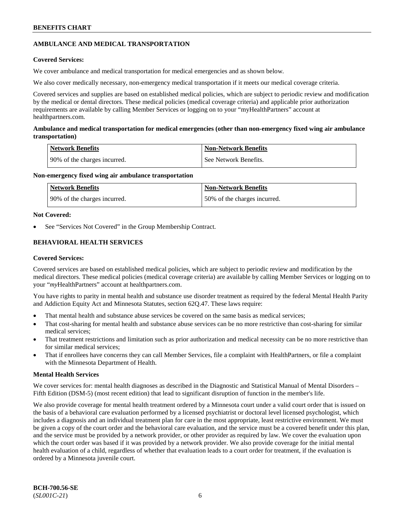# **AMBULANCE AND MEDICAL TRANSPORTATION**

## **Covered Services:**

We cover ambulance and medical transportation for medical emergencies and as shown below.

We also cover medically necessary, non-emergency medical transportation if it meets our medical coverage criteria.

Covered services and supplies are based on established medical policies, which are subject to periodic review and modification by the medical or dental directors. These medical policies (medical coverage criteria) and applicable prior authorization requirements are available by calling Member Services or logging on to your "myHealthPartners" account at [healthpartners.com.](https://www.healthpartners.com/hp/index.html)

## **Ambulance and medical transportation for medical emergencies (other than non-emergency fixed wing air ambulance transportation)**

| Network Benefits             | <b>Non-Network Benefits</b> |
|------------------------------|-----------------------------|
| 90% of the charges incurred. | See Network Benefits.       |

## **Non-emergency fixed wing air ambulance transportation**

| Network Benefits             | <b>Non-Network Benefits</b>  |
|------------------------------|------------------------------|
| 90% of the charges incurred. | 50% of the charges incurred. |

## **Not Covered:**

See "Services Not Covered" in the Group Membership Contract.

# **BEHAVIORAL HEALTH SERVICES**

## **Covered Services:**

Covered services are based on established medical policies, which are subject to periodic review and modification by the medical directors. These medical policies (medical coverage criteria) are available by calling Member Services or logging on to your "*my*HealthPartners" account at [healthpartners.com.](http://www.healthpartners.com/)

You have rights to parity in mental health and substance use disorder treatment as required by the federal Mental Health Parity and Addiction Equity Act and Minnesota Statutes, section 62Q.47. These laws require:

- That mental health and substance abuse services be covered on the same basis as medical services;
- That cost-sharing for mental health and substance abuse services can be no more restrictive than cost-sharing for similar medical services;
- That treatment restrictions and limitation such as prior authorization and medical necessity can be no more restrictive than for similar medical services;
- That if enrollees have concerns they can call Member Services, file a complaint with HealthPartners, or file a complaint with the Minnesota Department of Health.

## **Mental Health Services**

We cover services for: mental health diagnoses as described in the Diagnostic and Statistical Manual of Mental Disorders – Fifth Edition (DSM-5) (most recent edition) that lead to significant disruption of function in the member's life.

We also provide coverage for mental health treatment ordered by a Minnesota court under a valid court order that is issued on the basis of a behavioral care evaluation performed by a licensed psychiatrist or doctoral level licensed psychologist, which includes a diagnosis and an individual treatment plan for care in the most appropriate, least restrictive environment. We must be given a copy of the court order and the behavioral care evaluation, and the service must be a covered benefit under this plan, and the service must be provided by a network provider, or other provider as required by law. We cover the evaluation upon which the court order was based if it was provided by a network provider. We also provide coverage for the initial mental health evaluation of a child, regardless of whether that evaluation leads to a court order for treatment, if the evaluation is ordered by a Minnesota juvenile court.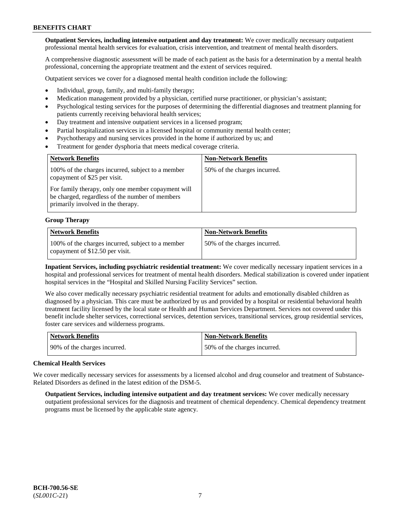**Outpatient Services, including intensive outpatient and day treatment:** We cover medically necessary outpatient professional mental health services for evaluation, crisis intervention, and treatment of mental health disorders.

A comprehensive diagnostic assessment will be made of each patient as the basis for a determination by a mental health professional, concerning the appropriate treatment and the extent of services required.

Outpatient services we cover for a diagnosed mental health condition include the following:

- Individual, group, family, and multi-family therapy;
- Medication management provided by a physician, certified nurse practitioner, or physician's assistant;
- Psychological testing services for the purposes of determining the differential diagnoses and treatment planning for patients currently receiving behavioral health services;
- Day treatment and intensive outpatient services in a licensed program;
- Partial hospitalization services in a licensed hospital or community mental health center;
- Psychotherapy and nursing services provided in the home if authorized by us; and
- Treatment for gender dysphoria that meets medical coverage criteria.

| <b>Network Benefits</b>                                                                                                                     | <b>Non-Network Benefits</b>  |
|---------------------------------------------------------------------------------------------------------------------------------------------|------------------------------|
| 100% of the charges incurred, subject to a member<br>copayment of \$25 per visit.                                                           | 50% of the charges incurred. |
| For family therapy, only one member copayment will<br>be charged, regardless of the number of members<br>primarily involved in the therapy. |                              |

#### **Group Therapy**

| <b>Network Benefits</b>                                                              | <b>Non-Network Benefits</b>  |
|--------------------------------------------------------------------------------------|------------------------------|
| 100% of the charges incurred, subject to a member<br>copayment of \$12.50 per visit. | 50% of the charges incurred. |

**Inpatient Services, including psychiatric residential treatment:** We cover medically necessary inpatient services in a hospital and professional services for treatment of mental health disorders. Medical stabilization is covered under inpatient hospital services in the "Hospital and Skilled Nursing Facility Services" section.

We also cover medically necessary psychiatric residential treatment for adults and emotionally disabled children as diagnosed by a physician. This care must be authorized by us and provided by a hospital or residential behavioral health treatment facility licensed by the local state or Health and Human Services Department. Services not covered under this benefit include shelter services, correctional services, detention services, transitional services, group residential services, foster care services and wilderness programs.

| Network Benefits             | <b>Non-Network Benefits</b>  |
|------------------------------|------------------------------|
| 90% of the charges incurred. | 50% of the charges incurred. |

## **Chemical Health Services**

We cover medically necessary services for assessments by a licensed alcohol and drug counselor and treatment of Substance-Related Disorders as defined in the latest edition of the DSM-5.

**Outpatient Services, including intensive outpatient and day treatment services:** We cover medically necessary outpatient professional services for the diagnosis and treatment of chemical dependency. Chemical dependency treatment programs must be licensed by the applicable state agency.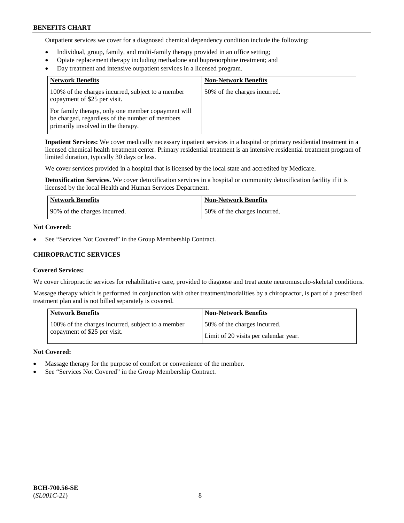Outpatient services we cover for a diagnosed chemical dependency condition include the following:

- Individual, group, family, and multi-family therapy provided in an office setting;
- Opiate replacement therapy including methadone and buprenorphine treatment; and
- Day treatment and intensive outpatient services in a licensed program.

| <b>Network Benefits</b>                                                                                                                     | <b>Non-Network Benefits</b>  |
|---------------------------------------------------------------------------------------------------------------------------------------------|------------------------------|
| 100% of the charges incurred, subject to a member<br>copayment of \$25 per visit.                                                           | 50% of the charges incurred. |
| For family therapy, only one member copayment will<br>be charged, regardless of the number of members<br>primarily involved in the therapy. |                              |

**Inpatient Services:** We cover medically necessary inpatient services in a hospital or primary residential treatment in a licensed chemical health treatment center. Primary residential treatment is an intensive residential treatment program of limited duration, typically 30 days or less.

We cover services provided in a hospital that is licensed by the local state and accredited by Medicare.

**Detoxification Services.** We cover detoxification services in a hospital or community detoxification facility if it is licensed by the local Health and Human Services Department.

| Network Benefits             | <b>Non-Network Benefits</b>  |
|------------------------------|------------------------------|
| 90% of the charges incurred. | 50% of the charges incurred. |

## **Not Covered:**

See "Services Not Covered" in the Group Membership Contract.

# **CHIROPRACTIC SERVICES**

## **Covered Services:**

We cover chiropractic services for rehabilitative care, provided to diagnose and treat acute neuromusculo-skeletal conditions.

Massage therapy which is performed in conjunction with other treatment/modalities by a chiropractor, is part of a prescribed treatment plan and is not billed separately is covered.

| <b>Network Benefits</b>                           | <b>Non-Network Benefits</b>           |
|---------------------------------------------------|---------------------------------------|
| 100% of the charges incurred, subject to a member | 50% of the charges incurred.          |
| copayment of \$25 per visit.                      | Limit of 20 visits per calendar year. |

## **Not Covered:**

- Massage therapy for the purpose of comfort or convenience of the member.
- See "Services Not Covered" in the Group Membership Contract.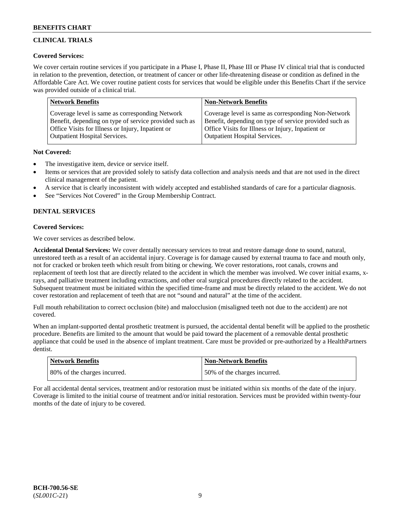# **CLINICAL TRIALS**

## **Covered Services:**

We cover certain routine services if you participate in a Phase I, Phase II, Phase III or Phase IV clinical trial that is conducted in relation to the prevention, detection, or treatment of cancer or other life-threatening disease or condition as defined in the Affordable Care Act. We cover routine patient costs for services that would be eligible under this Benefits Chart if the service was provided outside of a clinical trial.

| <b>Network Benefits</b>                                | <b>Non-Network Benefits</b>                            |
|--------------------------------------------------------|--------------------------------------------------------|
| Coverage level is same as corresponding Network        | Coverage level is same as corresponding Non-Network    |
| Benefit, depending on type of service provided such as | Benefit, depending on type of service provided such as |
| Office Visits for Illness or Injury, Inpatient or      | Office Visits for Illness or Injury, Inpatient or      |
| <b>Outpatient Hospital Services.</b>                   | Outpatient Hospital Services.                          |

## **Not Covered:**

- The investigative item, device or service itself.
- Items or services that are provided solely to satisfy data collection and analysis needs and that are not used in the direct clinical management of the patient.
- A service that is clearly inconsistent with widely accepted and established standards of care for a particular diagnosis.
- See "Services Not Covered" in the Group Membership Contract.

# **DENTAL SERVICES**

# **Covered Services:**

We cover services as described below.

**Accidental Dental Services:** We cover dentally necessary services to treat and restore damage done to sound, natural, unrestored teeth as a result of an accidental injury. Coverage is for damage caused by external trauma to face and mouth only, not for cracked or broken teeth which result from biting or chewing. We cover restorations, root canals, crowns and replacement of teeth lost that are directly related to the accident in which the member was involved. We cover initial exams, xrays, and palliative treatment including extractions, and other oral surgical procedures directly related to the accident. Subsequent treatment must be initiated within the specified time-frame and must be directly related to the accident. We do not cover restoration and replacement of teeth that are not "sound and natural" at the time of the accident.

Full mouth rehabilitation to correct occlusion (bite) and malocclusion (misaligned teeth not due to the accident) are not covered.

When an implant-supported dental prosthetic treatment is pursued, the accidental dental benefit will be applied to the prosthetic procedure. Benefits are limited to the amount that would be paid toward the placement of a removable dental prosthetic appliance that could be used in the absence of implant treatment. Care must be provided or pre-authorized by a HealthPartners dentist.

| <b>Network Benefits</b>      | <b>Non-Network Benefits</b>  |
|------------------------------|------------------------------|
| 80% of the charges incurred. | 50% of the charges incurred. |

For all accidental dental services, treatment and/or restoration must be initiated within six months of the date of the injury. Coverage is limited to the initial course of treatment and/or initial restoration. Services must be provided within twenty-four months of the date of injury to be covered.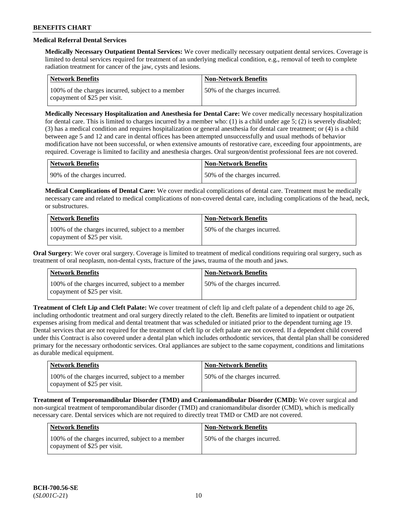# **Medical Referral Dental Services**

**Medically Necessary Outpatient Dental Services:** We cover medically necessary outpatient dental services. Coverage is limited to dental services required for treatment of an underlying medical condition, e.g., removal of teeth to complete radiation treatment for cancer of the jaw, cysts and lesions.

| Network Benefits                                                                  | <b>Non-Network Benefits</b>  |
|-----------------------------------------------------------------------------------|------------------------------|
| 100% of the charges incurred, subject to a member<br>copayment of \$25 per visit. | 50% of the charges incurred. |

**Medically Necessary Hospitalization and Anesthesia for Dental Care:** We cover medically necessary hospitalization for dental care. This is limited to charges incurred by a member who: (1) is a child under age  $5$ ; (2) is severely disabled; (3) has a medical condition and requires hospitalization or general anesthesia for dental care treatment; or (4) is a child between age 5 and 12 and care in dental offices has been attempted unsuccessfully and usual methods of behavior modification have not been successful, or when extensive amounts of restorative care, exceeding four appointments, are required. Coverage is limited to facility and anesthesia charges. Oral surgeon/dentist professional fees are not covered.

| Network Benefits              | Non-Network Benefits         |
|-------------------------------|------------------------------|
| 190% of the charges incurred. | 50% of the charges incurred. |

**Medical Complications of Dental Care:** We cover medical complications of dental care. Treatment must be medically necessary care and related to medical complications of non-covered dental care, including complications of the head, neck, or substructures.

| <b>Network Benefits</b>                                                           | <b>Non-Network Benefits</b>  |
|-----------------------------------------------------------------------------------|------------------------------|
| 100% of the charges incurred, subject to a member<br>copayment of \$25 per visit. | 50% of the charges incurred. |

**Oral Surgery**: We cover oral surgery. Coverage is limited to treatment of medical conditions requiring oral surgery, such as treatment of oral neoplasm, non-dental cysts, fracture of the jaws, trauma of the mouth and jaws.

| <b>Network Benefits</b>                                                           | <b>Non-Network Benefits</b>   |
|-----------------------------------------------------------------------------------|-------------------------------|
| 100% of the charges incurred, subject to a member<br>copayment of \$25 per visit. | 150% of the charges incurred. |

**Treatment of Cleft Lip and Cleft Palate:** We cover treatment of cleft lip and cleft palate of a dependent child to age 26, including orthodontic treatment and oral surgery directly related to the cleft. Benefits are limited to inpatient or outpatient expenses arising from medical and dental treatment that was scheduled or initiated prior to the dependent turning age 19. Dental services that are not required for the treatment of cleft lip or cleft palate are not covered. If a dependent child covered under this Contract is also covered under a dental plan which includes orthodontic services, that dental plan shall be considered primary for the necessary orthodontic services. Oral appliances are subject to the same copayment, conditions and limitations as durable medical equipment.

| <b>Network Benefits</b>                                                           | <b>Non-Network Benefits</b>  |
|-----------------------------------------------------------------------------------|------------------------------|
| 100% of the charges incurred, subject to a member<br>copayment of \$25 per visit. | 50% of the charges incurred. |

**Treatment of Temporomandibular Disorder (TMD) and Craniomandibular Disorder (CMD):** We cover surgical and non-surgical treatment of temporomandibular disorder (TMD) and craniomandibular disorder (CMD), which is medically necessary care. Dental services which are not required to directly treat TMD or CMD are not covered.

| Network Benefits                                                                  | <b>Non-Network Benefits</b>  |
|-----------------------------------------------------------------------------------|------------------------------|
| 100% of the charges incurred, subject to a member<br>copayment of \$25 per visit. | 50% of the charges incurred. |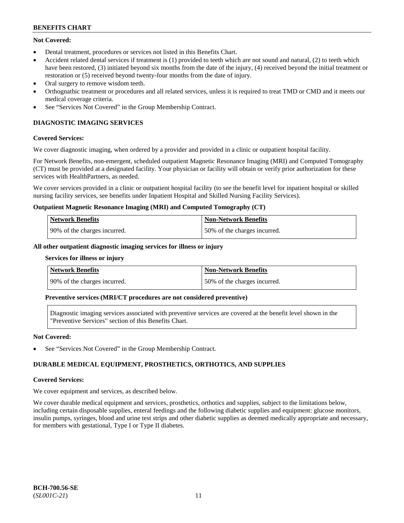# **Not Covered:**

- Dental treatment, procedures or services not listed in this Benefits Chart.
- Accident related dental services if treatment is (1) provided to teeth which are not sound and natural, (2) to teeth which have been restored, (3) initiated beyond six months from the date of the injury, (4) received beyond the initial treatment or restoration or (5) received beyond twenty-four months from the date of injury.
- Oral surgery to remove wisdom teeth.
- Orthognathic treatment or procedures and all related services, unless it is required to treat TMD or CMD and it meets our medical coverage criteria.
- See "Services Not Covered" in the Group Membership Contract.

# **DIAGNOSTIC IMAGING SERVICES**

# **Covered Services:**

We cover diagnostic imaging, when ordered by a provider and provided in a clinic or outpatient hospital facility.

For Network Benefits, non-emergent, scheduled outpatient Magnetic Resonance Imaging (MRI) and Computed Tomography (CT) must be provided at a designated facility. Your physician or facility will obtain or verify prior authorization for these services with HealthPartners, as needed.

We cover services provided in a clinic or outpatient hospital facility (to see the benefit level for inpatient hospital or skilled nursing facility services, see benefits under Inpatient Hospital and Skilled Nursing Facility Services).

## **Outpatient Magnetic Resonance Imaging (MRI) and Computed Tomography (CT)**

| Network Benefits             | <b>Non-Network Benefits</b>  |
|------------------------------|------------------------------|
| 90% of the charges incurred. | 50% of the charges incurred. |

## **All other outpatient diagnostic imaging services for illness or injury**

#### **Services for illness or injury**

| Network Benefits             | <b>Non-Network Benefits</b>  |
|------------------------------|------------------------------|
| 90% of the charges incurred. | 50% of the charges incurred. |

## **Preventive services (MRI/CT procedures are not considered preventive)**

Diagnostic imaging services associated with preventive services are covered at the benefit level shown in the "Preventive Services" section of this Benefits Chart.

## **Not Covered:**

See "Services Not Covered" in the Group Membership Contract.

# **DURABLE MEDICAL EQUIPMENT, PROSTHETICS, ORTHOTICS, AND SUPPLIES**

## **Covered Services:**

We cover equipment and services, as described below.

We cover durable medical equipment and services, prosthetics, orthotics and supplies, subject to the limitations below, including certain disposable supplies, enteral feedings and the following diabetic supplies and equipment: glucose monitors, insulin pumps, syringes, blood and urine test strips and other diabetic supplies as deemed medically appropriate and necessary, for members with gestational, Type I or Type II diabetes.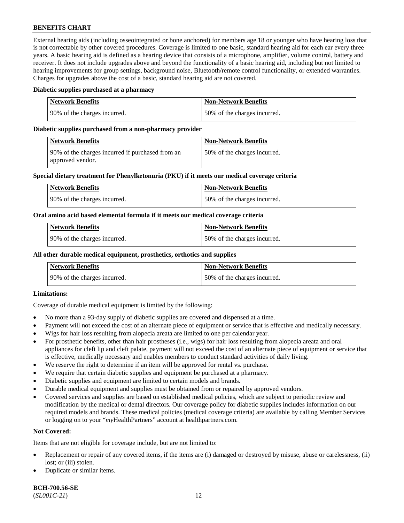External hearing aids (including osseointegrated or bone anchored) for members age 18 or younger who have hearing loss that is not correctable by other covered procedures. Coverage is limited to one basic, standard hearing aid for each ear every three years. A basic hearing aid is defined as a hearing device that consists of a microphone, amplifier, volume control, battery and receiver. It does not include upgrades above and beyond the functionality of a basic hearing aid, including but not limited to hearing improvements for group settings, background noise, Bluetooth/remote control functionality, or extended warranties. Charges for upgrades above the cost of a basic, standard hearing aid are not covered.

#### **Diabetic supplies purchased at a pharmacy**

| <b>Network Benefits</b>      | <b>Non-Network Benefits</b>  |
|------------------------------|------------------------------|
| 90% of the charges incurred. | 50% of the charges incurred. |

#### **Diabetic supplies purchased from a non-pharmacy provider**

| Network Benefits                                                     | <b>Non-Network Benefits</b>   |
|----------------------------------------------------------------------|-------------------------------|
| 90% of the charges incurred if purchased from an<br>approved vendor. | 150% of the charges incurred. |

#### **Special dietary treatment for Phenylketonuria (PKU) if it meets our medical coverage criteria**

| <b>Network Benefits</b>      | <b>Non-Network Benefits</b>  |
|------------------------------|------------------------------|
| 90% of the charges incurred. | 50% of the charges incurred. |

#### **Oral amino acid based elemental formula if it meets our medical coverage criteria**

| Network Benefits             | <b>Non-Network Benefits</b>  |
|------------------------------|------------------------------|
| 90% of the charges incurred. | 50% of the charges incurred. |

#### **All other durable medical equipment, prosthetics, orthotics and supplies**

| Network Benefits             | <b>Non-Network Benefits</b>  |
|------------------------------|------------------------------|
| 90% of the charges incurred. | 50% of the charges incurred. |

## **Limitations:**

Coverage of durable medical equipment is limited by the following:

- No more than a 93-day supply of diabetic supplies are covered and dispensed at a time.
- Payment will not exceed the cost of an alternate piece of equipment or service that is effective and medically necessary.
- Wigs for hair loss resulting from alopecia areata are limited to one per calendar year.
- For prosthetic benefits, other than hair prostheses (i.e., wigs) for hair loss resulting from alopecia areata and oral appliances for cleft lip and cleft palate, payment will not exceed the cost of an alternate piece of equipment or service that is effective, medically necessary and enables members to conduct standard activities of daily living.
- We reserve the right to determine if an item will be approved for rental vs. purchase.
- We require that certain diabetic supplies and equipment be purchased at a pharmacy.
- Diabetic supplies and equipment are limited to certain models and brands.
- Durable medical equipment and supplies must be obtained from or repaired by approved vendors.
- Covered services and supplies are based on established medical policies, which are subject to periodic review and modification by the medical or dental directors. Our coverage policy for diabetic supplies includes information on our required models and brands. These medical policies (medical coverage criteria) are available by calling Member Services or logging on to your "*my*HealthPartners" account a[t healthpartners.com.](https://www.healthpartners.com/hp/index.html)

## **Not Covered:**

Items that are not eligible for coverage include, but are not limited to:

- Replacement or repair of any covered items, if the items are (i) damaged or destroyed by misuse, abuse or carelessness, (ii) lost; or (iii) stolen.
- Duplicate or similar items.

**BCH-700.56-SE** (*SL001C-21*) 12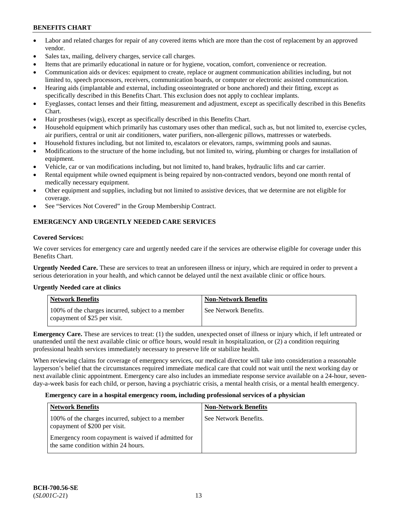- Labor and related charges for repair of any covered items which are more than the cost of replacement by an approved vendor.
- Sales tax, mailing, delivery charges, service call charges.
- Items that are primarily educational in nature or for hygiene, vocation, comfort, convenience or recreation.
- Communication aids or devices: equipment to create, replace or augment communication abilities including, but not limited to, speech processors, receivers, communication boards, or computer or electronic assisted communication.
- Hearing aids (implantable and external, including osseointegrated or bone anchored) and their fitting, except as specifically described in this Benefits Chart. This exclusion does not apply to cochlear implants.
- Eyeglasses, contact lenses and their fitting, measurement and adjustment, except as specifically described in this Benefits Chart.
- Hair prostheses (wigs), except as specifically described in this Benefits Chart.
- Household equipment which primarily has customary uses other than medical, such as, but not limited to, exercise cycles, air purifiers, central or unit air conditioners, water purifiers, non-allergenic pillows, mattresses or waterbeds.
- Household fixtures including, but not limited to, escalators or elevators, ramps, swimming pools and saunas.
- Modifications to the structure of the home including, but not limited to, wiring, plumbing or charges for installation of equipment.
- Vehicle, car or van modifications including, but not limited to, hand brakes, hydraulic lifts and car carrier.
- Rental equipment while owned equipment is being repaired by non-contracted vendors, beyond one month rental of medically necessary equipment.
- Other equipment and supplies, including but not limited to assistive devices, that we determine are not eligible for coverage.
- See "Services Not Covered" in the Group Membership Contract.

# **EMERGENCY AND URGENTLY NEEDED CARE SERVICES**

# **Covered Services:**

We cover services for emergency care and urgently needed care if the services are otherwise eligible for coverage under this Benefits Chart.

**Urgently Needed Care.** These are services to treat an unforeseen illness or injury, which are required in order to prevent a serious deterioration in your health, and which cannot be delayed until the next available clinic or office hours.

## **Urgently Needed care at clinics**

| <b>Network Benefits</b>                                                           | <b>Non-Network Benefits</b> |
|-----------------------------------------------------------------------------------|-----------------------------|
| 100% of the charges incurred, subject to a member<br>copayment of \$25 per visit. | See Network Benefits.       |

**Emergency Care.** These are services to treat: (1) the sudden, unexpected onset of illness or injury which, if left untreated or unattended until the next available clinic or office hours, would result in hospitalization, or (2) a condition requiring professional health services immediately necessary to preserve life or stabilize health.

When reviewing claims for coverage of emergency services, our medical director will take into consideration a reasonable layperson's belief that the circumstances required immediate medical care that could not wait until the next working day or next available clinic appointment. Emergency care also includes an immediate response service available on a 24-hour, sevenday-a-week basis for each child, or person, having a psychiatric crisis, a mental health crisis, or a mental health emergency.

## **Emergency care in a hospital emergency room, including professional services of a physician**

| <b>Network Benefits</b>                                                                   | <b>Non-Network Benefits</b> |
|-------------------------------------------------------------------------------------------|-----------------------------|
| 100% of the charges incurred, subject to a member<br>copayment of \$200 per visit.        | See Network Benefits.       |
| Emergency room copayment is waived if admitted for<br>the same condition within 24 hours. |                             |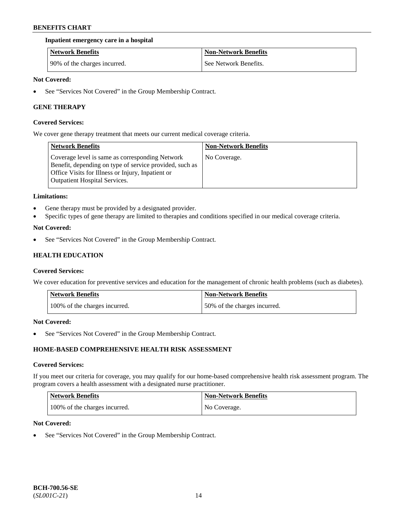#### **Inpatient emergency care in a hospital**

| <b>Network Benefits</b>      | <b>Non-Network Benefits</b> |
|------------------------------|-----------------------------|
| 90% of the charges incurred. | See Network Benefits.       |

#### **Not Covered:**

See "Services Not Covered" in the Group Membership Contract.

## **GENE THERAPY**

#### **Covered Services:**

We cover gene therapy treatment that meets our current medical coverage criteria.

| <b>Network Benefits</b>                                                                                                                                                                                 | <b>Non-Network Benefits</b> |
|---------------------------------------------------------------------------------------------------------------------------------------------------------------------------------------------------------|-----------------------------|
| Coverage level is same as corresponding Network<br>Benefit, depending on type of service provided, such as<br>Office Visits for Illness or Injury, Inpatient or<br><b>Outpatient Hospital Services.</b> | No Coverage.                |

#### **Limitations:**

- Gene therapy must be provided by a designated provider.
- Specific types of gene therapy are limited to therapies and conditions specified in our medical coverage criteria.

#### **Not Covered:**

• See "Services Not Covered" in the Group Membership Contract.

# **HEALTH EDUCATION**

## **Covered Services:**

We cover education for preventive services and education for the management of chronic health problems (such as diabetes).

| <b>Network Benefits</b>       | <b>Non-Network Benefits</b>  |
|-------------------------------|------------------------------|
| 100% of the charges incurred. | 50% of the charges incurred. |

## **Not Covered:**

See "Services Not Covered" in the Group Membership Contract.

# **HOME-BASED COMPREHENSIVE HEALTH RISK ASSESSMENT**

#### **Covered Services:**

If you meet our criteria for coverage, you may qualify for our home-based comprehensive health risk assessment program. The program covers a health assessment with a designated nurse practitioner.

| Network Benefits              | <b>Non-Network Benefits</b> |
|-------------------------------|-----------------------------|
| 100% of the charges incurred. | No Coverage.                |

#### **Not Covered:**

See "Services Not Covered" in the Group Membership Contract.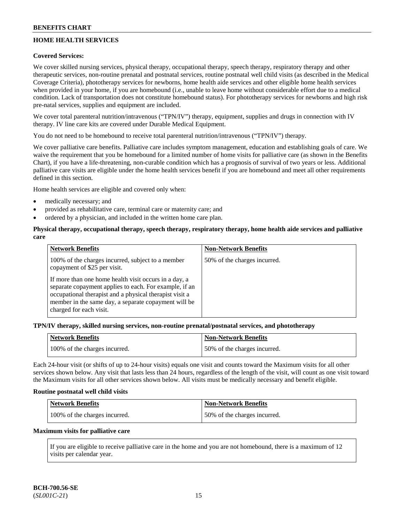# **HOME HEALTH SERVICES**

## **Covered Services:**

We cover skilled nursing services, physical therapy, occupational therapy, speech therapy, respiratory therapy and other therapeutic services, non-routine prenatal and postnatal services, routine postnatal well child visits (as described in the Medical Coverage Criteria), phototherapy services for newborns, home health aide services and other eligible home health services when provided in your home, if you are homebound (i.e., unable to leave home without considerable effort due to a medical condition. Lack of transportation does not constitute homebound status). For phototherapy services for newborns and high risk pre-natal services, supplies and equipment are included.

We cover total parenteral nutrition/intravenous ("TPN/IV") therapy, equipment, supplies and drugs in connection with IV therapy. IV line care kits are covered under Durable Medical Equipment.

You do not need to be homebound to receive total parenteral nutrition/intravenous ("TPN/IV") therapy.

We cover palliative care benefits. Palliative care includes symptom management, education and establishing goals of care. We waive the requirement that you be homebound for a limited number of home visits for palliative care (as shown in the Benefits Chart), if you have a life-threatening, non-curable condition which has a prognosis of survival of two years or less. Additional palliative care visits are eligible under the home health services benefit if you are homebound and meet all other requirements defined in this section.

Home health services are eligible and covered only when:

- medically necessary; and
- provided as rehabilitative care, terminal care or maternity care; and
- ordered by a physician, and included in the written home care plan.

## **Physical therapy, occupational therapy, speech therapy, respiratory therapy, home health aide services and palliative care**

| <b>Network Benefits</b>                                                                                                                                                                                                                                       | <b>Non-Network Benefits</b>  |
|---------------------------------------------------------------------------------------------------------------------------------------------------------------------------------------------------------------------------------------------------------------|------------------------------|
| 100% of the charges incurred, subject to a member<br>copayment of \$25 per visit.                                                                                                                                                                             | 50% of the charges incurred. |
| If more than one home health visit occurs in a day, a<br>separate copayment applies to each. For example, if an<br>occupational therapist and a physical therapist visit a<br>member in the same day, a separate copayment will be<br>charged for each visit. |                              |

#### **TPN/IV therapy, skilled nursing services, non-routine prenatal/postnatal services, and phototherapy**

| <b>Network Benefits</b>       | <b>Non-Network Benefits</b>  |
|-------------------------------|------------------------------|
| 100% of the charges incurred. | 50% of the charges incurred. |

Each 24-hour visit (or shifts of up to 24-hour visits) equals one visit and counts toward the Maximum visits for all other services shown below. Any visit that lasts less than 24 hours, regardless of the length of the visit, will count as one visit toward the Maximum visits for all other services shown below. All visits must be medically necessary and benefit eligible.

#### **Routine postnatal well child visits**

| <b>Network Benefits</b>       | <b>Non-Network Benefits</b>  |
|-------------------------------|------------------------------|
| 100% of the charges incurred. | 50% of the charges incurred. |

#### **Maximum visits for palliative care**

If you are eligible to receive palliative care in the home and you are not homebound, there is a maximum of 12 visits per calendar year.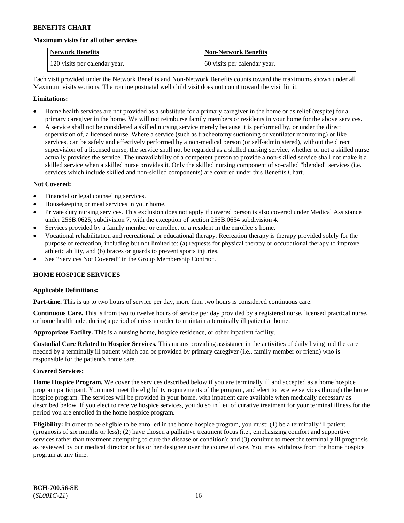#### **Maximum visits for all other services**

| <b>Network Benefits</b>       | <b>Non-Network Benefits</b>  |
|-------------------------------|------------------------------|
| 120 visits per calendar year. | 60 visits per calendar year. |

Each visit provided under the Network Benefits and Non-Network Benefits counts toward the maximums shown under all Maximum visits sections. The routine postnatal well child visit does not count toward the visit limit.

#### **Limitations:**

- Home health services are not provided as a substitute for a primary caregiver in the home or as relief (respite) for a primary caregiver in the home. We will not reimburse family members or residents in your home for the above services.
- A service shall not be considered a skilled nursing service merely because it is performed by, or under the direct supervision of, a licensed nurse. Where a service (such as tracheotomy suctioning or ventilator monitoring) or like services, can be safely and effectively performed by a non-medical person (or self-administered), without the direct supervision of a licensed nurse, the service shall not be regarded as a skilled nursing service, whether or not a skilled nurse actually provides the service. The unavailability of a competent person to provide a non-skilled service shall not make it a skilled service when a skilled nurse provides it. Only the skilled nursing component of so-called "blended" services (i.e. services which include skilled and non-skilled components) are covered under this Benefits Chart.

#### **Not Covered:**

- Financial or legal counseling services.
- Housekeeping or meal services in your home.
- Private duty nursing services. This exclusion does not apply if covered person is also covered under Medical Assistance under 256B.0625, subdivision 7, with the exception of section 256B.0654 subdivision 4.
- Services provided by a family member or enrollee, or a resident in the enrollee's home.
- Vocational rehabilitation and recreational or educational therapy. Recreation therapy is therapy provided solely for the purpose of recreation, including but not limited to: (a) requests for physical therapy or occupational therapy to improve athletic ability, and (b) braces or guards to prevent sports injuries.
- See "Services Not Covered" in the Group Membership Contract.

## **HOME HOSPICE SERVICES**

#### **Applicable Definitions:**

**Part-time.** This is up to two hours of service per day, more than two hours is considered continuous care.

**Continuous Care.** This is from two to twelve hours of service per day provided by a registered nurse, licensed practical nurse, or home health aide, during a period of crisis in order to maintain a terminally ill patient at home.

**Appropriate Facility.** This is a nursing home, hospice residence, or other inpatient facility.

**Custodial Care Related to Hospice Services.** This means providing assistance in the activities of daily living and the care needed by a terminally ill patient which can be provided by primary caregiver (i.e., family member or friend) who is responsible for the patient's home care.

#### **Covered Services:**

**Home Hospice Program.** We cover the services described below if you are terminally ill and accepted as a home hospice program participant. You must meet the eligibility requirements of the program, and elect to receive services through the home hospice program. The services will be provided in your home, with inpatient care available when medically necessary as described below. If you elect to receive hospice services, you do so in lieu of curative treatment for your terminal illness for the period you are enrolled in the home hospice program.

**Eligibility:** In order to be eligible to be enrolled in the home hospice program, you must: (1) be a terminally ill patient (prognosis of six months or less); (2) have chosen a palliative treatment focus (i.e., emphasizing comfort and supportive services rather than treatment attempting to cure the disease or condition); and (3) continue to meet the terminally ill prognosis as reviewed by our medical director or his or her designee over the course of care. You may withdraw from the home hospice program at any time.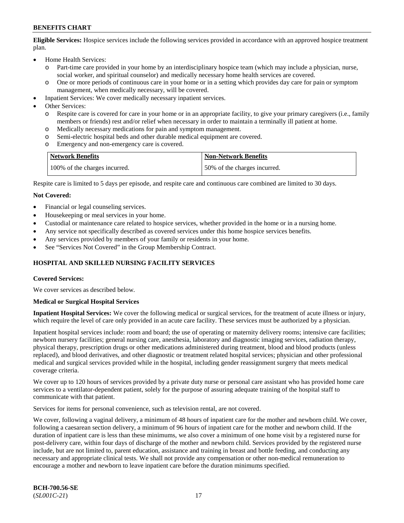**Eligible Services:** Hospice services include the following services provided in accordance with an approved hospice treatment plan.

- Home Health Services:
	- o Part-time care provided in your home by an interdisciplinary hospice team (which may include a physician, nurse, social worker, and spiritual counselor) and medically necessary home health services are covered.
	- o One or more periods of continuous care in your home or in a setting which provides day care for pain or symptom management, when medically necessary, will be covered.
- Inpatient Services: We cover medically necessary inpatient services.
- Other Services:
	- o Respite care is covered for care in your home or in an appropriate facility, to give your primary caregivers (i.e., family members or friends) rest and/or relief when necessary in order to maintain a terminally ill patient at home.
	- o Medically necessary medications for pain and symptom management.
	- Semi-electric hospital beds and other durable medical equipment are covered.
	- o Emergency and non-emergency care is covered.

| <b>Network Benefits</b>       | Non-Network Benefits         |
|-------------------------------|------------------------------|
| 100% of the charges incurred. | 50% of the charges incurred. |

Respite care is limited to 5 days per episode, and respite care and continuous care combined are limited to 30 days.

#### **Not Covered:**

- Financial or legal counseling services.
- Housekeeping or meal services in your home.
- Custodial or maintenance care related to hospice services, whether provided in the home or in a nursing home.
- Any service not specifically described as covered services under this home hospice services benefits.
- Any services provided by members of your family or residents in your home.
- See "Services Not Covered" in the Group Membership Contract.

## **HOSPITAL AND SKILLED NURSING FACILITY SERVICES**

#### **Covered Services:**

We cover services as described below.

#### **Medical or Surgical Hospital Services**

**Inpatient Hospital Services:** We cover the following medical or surgical services, for the treatment of acute illness or injury, which require the level of care only provided in an acute care facility. These services must be authorized by a physician.

Inpatient hospital services include: room and board; the use of operating or maternity delivery rooms; intensive care facilities; newborn nursery facilities; general nursing care, anesthesia, laboratory and diagnostic imaging services, radiation therapy, physical therapy, prescription drugs or other medications administered during treatment, blood and blood products (unless replaced), and blood derivatives, and other diagnostic or treatment related hospital services; physician and other professional medical and surgical services provided while in the hospital, including gender reassignment surgery that meets medical coverage criteria.

We cover up to 120 hours of services provided by a private duty nurse or personal care assistant who has provided home care services to a ventilator-dependent patient, solely for the purpose of assuring adequate training of the hospital staff to communicate with that patient.

Services for items for personal convenience, such as television rental, are not covered.

We cover, following a vaginal delivery, a minimum of 48 hours of inpatient care for the mother and newborn child. We cover, following a caesarean section delivery, a minimum of 96 hours of inpatient care for the mother and newborn child. If the duration of inpatient care is less than these minimums, we also cover a minimum of one home visit by a registered nurse for post-delivery care, within four days of discharge of the mother and newborn child. Services provided by the registered nurse include, but are not limited to, parent education, assistance and training in breast and bottle feeding, and conducting any necessary and appropriate clinical tests. We shall not provide any compensation or other non-medical remuneration to encourage a mother and newborn to leave inpatient care before the duration minimums specified.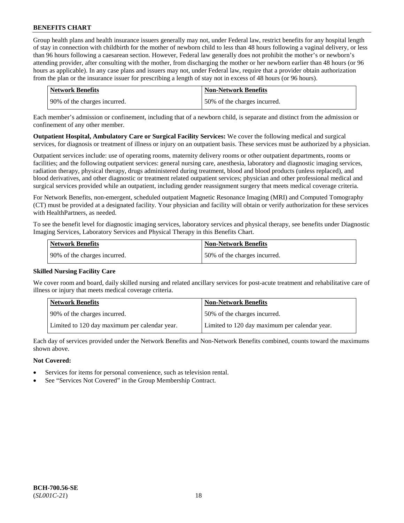Group health plans and health insurance issuers generally may not, under Federal law, restrict benefits for any hospital length of stay in connection with childbirth for the mother of newborn child to less than 48 hours following a vaginal delivery, or less than 96 hours following a caesarean section. However, Federal law generally does not prohibit the mother's or newborn's attending provider, after consulting with the mother, from discharging the mother or her newborn earlier than 48 hours (or 96 hours as applicable). In any case plans and issuers may not, under Federal law, require that a provider obtain authorization from the plan or the insurance issuer for prescribing a length of stay not in excess of 48 hours (or 96 hours).

| Network Benefits             | <b>Non-Network Benefits</b>  |
|------------------------------|------------------------------|
| 90% of the charges incurred. | 50% of the charges incurred. |

Each member's admission or confinement, including that of a newborn child, is separate and distinct from the admission or confinement of any other member.

**Outpatient Hospital, Ambulatory Care or Surgical Facility Services:** We cover the following medical and surgical services, for diagnosis or treatment of illness or injury on an outpatient basis. These services must be authorized by a physician.

Outpatient services include: use of operating rooms, maternity delivery rooms or other outpatient departments, rooms or facilities; and the following outpatient services: general nursing care, anesthesia, laboratory and diagnostic imaging services, radiation therapy, physical therapy, drugs administered during treatment, blood and blood products (unless replaced), and blood derivatives, and other diagnostic or treatment related outpatient services; physician and other professional medical and surgical services provided while an outpatient, including gender reassignment surgery that meets medical coverage criteria.

For Network Benefits, non-emergent, scheduled outpatient Magnetic Resonance Imaging (MRI) and Computed Tomography (CT) must be provided at a designated facility. Your physician and facility will obtain or verify authorization for these services with HealthPartners, as needed.

To see the benefit level for diagnostic imaging services, laboratory services and physical therapy, see benefits under Diagnostic Imaging Services, Laboratory Services and Physical Therapy in this Benefits Chart.

| Network Benefits             | <b>Non-Network Benefits</b>  |
|------------------------------|------------------------------|
| 90% of the charges incurred. | 50% of the charges incurred. |

## **Skilled Nursing Facility Care**

We cover room and board, daily skilled nursing and related ancillary services for post-acute treatment and rehabilitative care of illness or injury that meets medical coverage criteria.

| <b>Network Benefits</b>                       | <b>Non-Network Benefits</b>                   |
|-----------------------------------------------|-----------------------------------------------|
| 90% of the charges incurred.                  | 50% of the charges incurred.                  |
| Limited to 120 day maximum per calendar year. | Limited to 120 day maximum per calendar year. |

Each day of services provided under the Network Benefits and Non-Network Benefits combined, counts toward the maximums shown above.

## **Not Covered:**

- Services for items for personal convenience, such as television rental.
- See "Services Not Covered" in the Group Membership Contract.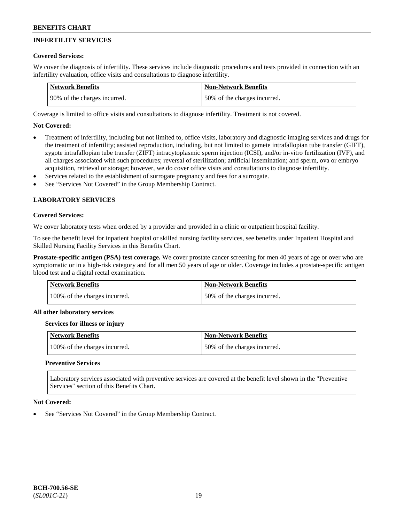# **INFERTILITY SERVICES**

## **Covered Services:**

We cover the diagnosis of infertility. These services include diagnostic procedures and tests provided in connection with an infertility evaluation, office visits and consultations to diagnose infertility.

| <b>Network Benefits</b>       | <b>Non-Network Benefits</b>  |
|-------------------------------|------------------------------|
| 190% of the charges incurred. | 50% of the charges incurred. |

Coverage is limited to office visits and consultations to diagnose infertility. Treatment is not covered.

# **Not Covered:**

- Treatment of infertility, including but not limited to, office visits, laboratory and diagnostic imaging services and drugs for the treatment of infertility; assisted reproduction, including, but not limited to gamete intrafallopian tube transfer (GIFT), zygote intrafallopian tube transfer (ZIFT) intracytoplasmic sperm injection (ICSI), and/or in-vitro fertilization (IVF), and all charges associated with such procedures; reversal of sterilization; artificial insemination; and sperm, ova or embryo acquisition, retrieval or storage; however, we do cover office visits and consultations to diagnose infertility.
- Services related to the establishment of surrogate pregnancy and fees for a surrogate.
- See "Services Not Covered" in the Group Membership Contract.

# **LABORATORY SERVICES**

#### **Covered Services:**

We cover laboratory tests when ordered by a provider and provided in a clinic or outpatient hospital facility.

To see the benefit level for inpatient hospital or skilled nursing facility services, see benefits under Inpatient Hospital and Skilled Nursing Facility Services in this Benefits Chart.

**Prostate-specific antigen (PSA) test coverage.** We cover prostate cancer screening for men 40 years of age or over who are symptomatic or in a high-risk category and for all men 50 years of age or older. Coverage includes a prostate-specific antigen blood test and a digital rectal examination.

| <b>Network Benefits</b>       | <b>Non-Network Benefits</b>  |
|-------------------------------|------------------------------|
| 100% of the charges incurred. | 50% of the charges incurred. |

#### **All other laboratory services**

#### **Services for illness or injury**

| Network Benefits              | <b>Non-Network Benefits</b>  |
|-------------------------------|------------------------------|
| 100% of the charges incurred. | 50% of the charges incurred. |

## **Preventive Services**

Laboratory services associated with preventive services are covered at the benefit level shown in the "Preventive Services" section of this Benefits Chart.

#### **Not Covered:**

See "Services Not Covered" in the Group Membership Contract.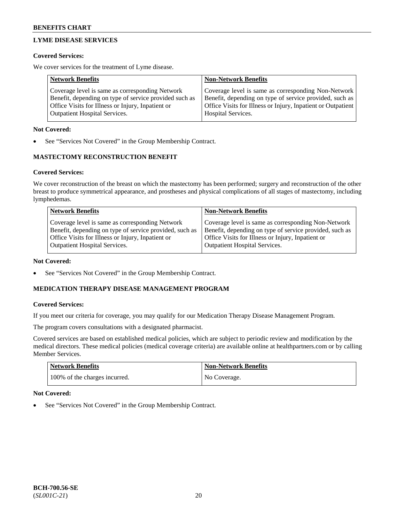# **LYME DISEASE SERVICES**

## **Covered Services:**

We cover services for the treatment of Lyme disease.

| <b>Network Benefits</b>                                | <b>Non-Network Benefits</b>                                  |
|--------------------------------------------------------|--------------------------------------------------------------|
| Coverage level is same as corresponding Network        | Coverage level is same as corresponding Non-Network          |
| Benefit, depending on type of service provided such as | Benefit, depending on type of service provided, such as      |
| Office Visits for Illness or Injury, Inpatient or      | Office Visits for Illness or Injury, Inpatient or Outpatient |
| <b>Outpatient Hospital Services.</b>                   | Hospital Services.                                           |

## **Not Covered:**

See "Services Not Covered" in the Group Membership Contract.

# **MASTECTOMY RECONSTRUCTION BENEFIT**

# **Covered Services:**

We cover reconstruction of the breast on which the mastectomy has been performed; surgery and reconstruction of the other breast to produce symmetrical appearance, and prostheses and physical complications of all stages of mastectomy, including lymphedemas.

| <b>Network Benefits</b>                                                                                                                                                                                 | <b>Non-Network Benefits</b>                                                                                                                                                                                 |
|---------------------------------------------------------------------------------------------------------------------------------------------------------------------------------------------------------|-------------------------------------------------------------------------------------------------------------------------------------------------------------------------------------------------------------|
| Coverage level is same as corresponding Network<br>Benefit, depending on type of service provided, such as<br>Office Visits for Illness or Injury, Inpatient or<br><b>Outpatient Hospital Services.</b> | Coverage level is same as corresponding Non-Network<br>Benefit, depending on type of service provided, such as<br>Office Visits for Illness or Injury, Inpatient or<br><b>Outpatient Hospital Services.</b> |
|                                                                                                                                                                                                         |                                                                                                                                                                                                             |

## **Not Covered:**

See "Services Not Covered" in the Group Membership Contract.

# **MEDICATION THERAPY DISEASE MANAGEMENT PROGRAM**

## **Covered Services:**

If you meet our criteria for coverage, you may qualify for our Medication Therapy Disease Management Program.

The program covers consultations with a designated pharmacist.

Covered services are based on established medical policies, which are subject to periodic review and modification by the medical directors. These medical policies (medical coverage criteria) are available online at [healthpartners.com](https://www.healthpartners.com/hp/index.html) or by calling Member Services.

| Network Benefits              | Non-Network Benefits |
|-------------------------------|----------------------|
| 100% of the charges incurred. | No Coverage.         |

# **Not Covered:**

See "Services Not Covered" in the Group Membership Contract.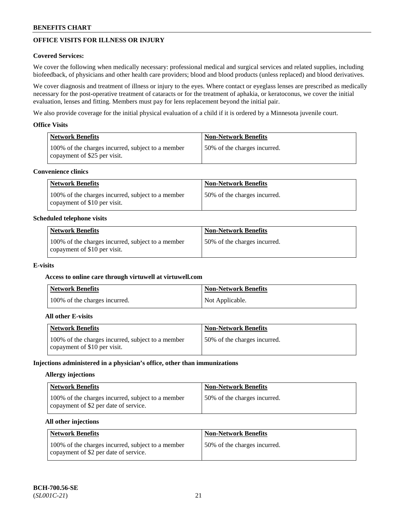# **OFFICE VISITS FOR ILLNESS OR INJURY**

## **Covered Services:**

We cover the following when medically necessary: professional medical and surgical services and related supplies, including biofeedback, of physicians and other health care providers; blood and blood products (unless replaced) and blood derivatives.

We cover diagnosis and treatment of illness or injury to the eyes. Where contact or eyeglass lenses are prescribed as medically necessary for the post-operative treatment of cataracts or for the treatment of aphakia, or keratoconus, we cover the initial evaluation, lenses and fitting. Members must pay for lens replacement beyond the initial pair.

We also provide coverage for the initial physical evaluation of a child if it is ordered by a Minnesota juvenile court.

## **Office Visits**

| Network Benefits                                                                  | <b>Non-Network Benefits</b>  |
|-----------------------------------------------------------------------------------|------------------------------|
| 100% of the charges incurred, subject to a member<br>copayment of \$25 per visit. | 50% of the charges incurred. |

## **Convenience clinics**

| <b>Network Benefits</b>                                                           | <b>Non-Network Benefits</b>   |
|-----------------------------------------------------------------------------------|-------------------------------|
| 100% of the charges incurred, subject to a member<br>copayment of \$10 per visit. | 150% of the charges incurred. |

#### **Scheduled telephone visits**

| <b>Network Benefits</b>                                                           | <b>Non-Network Benefits</b>  |
|-----------------------------------------------------------------------------------|------------------------------|
| 100% of the charges incurred, subject to a member<br>copayment of \$10 per visit. | 50% of the charges incurred. |

#### **E-visits**

#### **Access to online care through virtuwell at [virtuwell.com](https://www.virtuwell.com/)**

| <b>Network Benefits</b>       | <b>Non-Network Benefits</b> |
|-------------------------------|-----------------------------|
| 100% of the charges incurred. | Not Applicable.             |

#### **All other E-visits**

| <b>Network Benefits</b>                                                           | <b>Non-Network Benefits</b>  |
|-----------------------------------------------------------------------------------|------------------------------|
| 100% of the charges incurred, subject to a member<br>copayment of \$10 per visit. | 50% of the charges incurred. |

#### **Injections administered in a physician's office, other than immunizations**

#### **Allergy injections**

| Network Benefits                                                                           | <b>Non-Network Benefits</b>  |
|--------------------------------------------------------------------------------------------|------------------------------|
| 100% of the charges incurred, subject to a member<br>copayment of \$2 per date of service. | 50% of the charges incurred. |

## **All other injections**

| <b>Network Benefits</b>                                                                    | <b>Non-Network Benefits</b>  |
|--------------------------------------------------------------------------------------------|------------------------------|
| 100% of the charges incurred, subject to a member<br>copayment of \$2 per date of service. | 50% of the charges incurred. |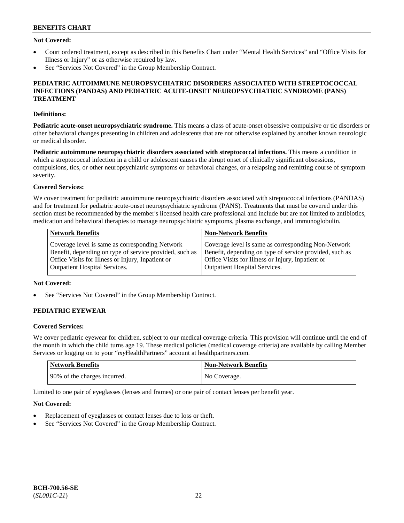## **Not Covered:**

- Court ordered treatment, except as described in this Benefits Chart under "Mental Health Services" and "Office Visits for Illness or Injury" or as otherwise required by law.
- See "Services Not Covered" in the Group Membership Contract.

## **PEDIATRIC AUTOIMMUNE NEUROPSYCHIATRIC DISORDERS ASSOCIATED WITH STREPTOCOCCAL INFECTIONS (PANDAS) AND PEDIATRIC ACUTE-ONSET NEUROPSYCHIATRIC SYNDROME (PANS) TREATMENT**

# **Definitions:**

**Pediatric acute-onset neuropsychiatric syndrome.** This means a class of acute-onset obsessive compulsive or tic disorders or other behavioral changes presenting in children and adolescents that are not otherwise explained by another known neurologic or medical disorder.

**Pediatric autoimmune neuropsychiatric disorders associated with streptococcal infections.** This means a condition in which a streptococcal infection in a child or adolescent causes the abrupt onset of clinically significant obsessions, compulsions, tics, or other neuropsychiatric symptoms or behavioral changes, or a relapsing and remitting course of symptom severity.

# **Covered Services:**

We cover treatment for pediatric autoimmune neuropsychiatric disorders associated with streptococcal infections (PANDAS) and for treatment for pediatric acute-onset neuropsychiatric syndrome (PANS). Treatments that must be covered under this section must be recommended by the member's licensed health care professional and include but are not limited to antibiotics, medication and behavioral therapies to manage neuropsychiatric symptoms, plasma exchange, and immunoglobulin.

| <b>Network Benefits</b>                                 | <b>Non-Network Benefits</b>                             |
|---------------------------------------------------------|---------------------------------------------------------|
| Coverage level is same as corresponding Network         | Coverage level is same as corresponding Non-Network     |
| Benefit, depending on type of service provided, such as | Benefit, depending on type of service provided, such as |
| Office Visits for Illness or Injury, Inpatient or       | Office Visits for Illness or Injury, Inpatient or       |
| <b>Outpatient Hospital Services.</b>                    | <b>Outpatient Hospital Services.</b>                    |

## **Not Covered:**

See "Services Not Covered" in the Group Membership Contract.

# **PEDIATRIC EYEWEAR**

## **Covered Services:**

We cover pediatric eyewear for children, subject to our medical coverage criteria. This provision will continue until the end of the month in which the child turns age 19. These medical policies (medical coverage criteria) are available by calling Member Services or logging on to your "*my*HealthPartners" account at [healthpartners.com.](https://www.healthpartners.com/hp/index.html)

| Network Benefits             | <b>Non-Network Benefits</b> |
|------------------------------|-----------------------------|
| 90% of the charges incurred. | No Coverage.                |

Limited to one pair of eyeglasses (lenses and frames) or one pair of contact lenses per benefit year.

## **Not Covered:**

- Replacement of eyeglasses or contact lenses due to loss or theft.
- See "Services Not Covered" in the Group Membership Contract.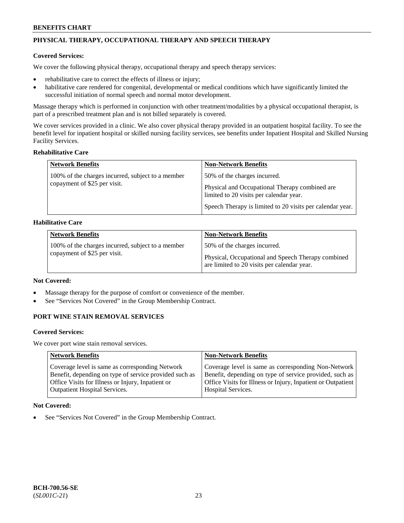# **PHYSICAL THERAPY, OCCUPATIONAL THERAPY AND SPEECH THERAPY**

## **Covered Services:**

We cover the following physical therapy, occupational therapy and speech therapy services:

- rehabilitative care to correct the effects of illness or injury;
- habilitative care rendered for congenital, developmental or medical conditions which have significantly limited the successful initiation of normal speech and normal motor development.

Massage therapy which is performed in conjunction with other treatment/modalities by a physical occupational therapist, is part of a prescribed treatment plan and is not billed separately is covered.

We cover services provided in a clinic. We also cover physical therapy provided in an outpatient hospital facility. To see the benefit level for inpatient hospital or skilled nursing facility services, see benefits under Inpatient Hospital and Skilled Nursing Facility Services.

## **Rehabilitative Care**

| <b>Network Benefits</b>                                                           | <b>Non-Network Benefits</b>                                                                                                                                                            |
|-----------------------------------------------------------------------------------|----------------------------------------------------------------------------------------------------------------------------------------------------------------------------------------|
| 100% of the charges incurred, subject to a member<br>copayment of \$25 per visit. | 50% of the charges incurred.<br>Physical and Occupational Therapy combined are<br>limited to 20 visits per calendar year.<br>Speech Therapy is limited to 20 visits per calendar year. |

## **Habilitative Care**

| <b>Network Benefits</b>                                                           | <b>Non-Network Benefits</b>                                                                                                       |
|-----------------------------------------------------------------------------------|-----------------------------------------------------------------------------------------------------------------------------------|
| 100% of the charges incurred, subject to a member<br>copayment of \$25 per visit. | 50% of the charges incurred.<br>Physical, Occupational and Speech Therapy combined<br>are limited to 20 visits per calendar year. |

## **Not Covered:**

- Massage therapy for the purpose of comfort or convenience of the member.
- See "Services Not Covered" in the Group Membership Contract.

# **PORT WINE STAIN REMOVAL SERVICES**

#### **Covered Services:**

We cover port wine stain removal services.

| <b>Network Benefits</b>                                | <b>Non-Network Benefits</b>                                  |
|--------------------------------------------------------|--------------------------------------------------------------|
| Coverage level is same as corresponding Network        | Coverage level is same as corresponding Non-Network          |
| Benefit, depending on type of service provided such as | Benefit, depending on type of service provided, such as      |
| Office Visits for Illness or Injury, Inpatient or      | Office Visits for Illness or Injury, Inpatient or Outpatient |
| <b>Outpatient Hospital Services.</b>                   | Hospital Services.                                           |

## **Not Covered:**

See "Services Not Covered" in the Group Membership Contract.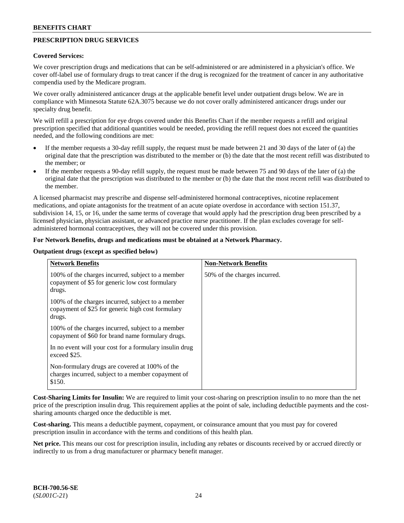# **PRESCRIPTION DRUG SERVICES**

#### **Covered Services:**

We cover prescription drugs and medications that can be self-administered or are administered in a physician's office. We cover off-label use of formulary drugs to treat cancer if the drug is recognized for the treatment of cancer in any authoritative compendia used by the Medicare program.

We cover orally administered anticancer drugs at the applicable benefit level under outpatient drugs below. We are in compliance with Minnesota Statute 62A.3075 because we do not cover orally administered anticancer drugs under our specialty drug benefit.

We will refill a prescription for eye drops covered under this Benefits Chart if the member requests a refill and original prescription specified that additional quantities would be needed, providing the refill request does not exceed the quantities needed, and the following conditions are met:

- If the member requests a 30-day refill supply, the request must be made between 21 and 30 days of the later of (a) the original date that the prescription was distributed to the member or (b) the date that the most recent refill was distributed to the member; or
- If the member requests a 90-day refill supply, the request must be made between 75 and 90 days of the later of (a) the original date that the prescription was distributed to the member or (b) the date that the most recent refill was distributed to the member.

A licensed pharmacist may prescribe and dispense self-administered hormonal contraceptives, nicotine replacement medications, and opiate antagonists for the treatment of an acute opiate overdose in accordance with section 151.37, subdivision 14, 15, or 16, under the same terms of coverage that would apply had the prescription drug been prescribed by a licensed physician, physician assistant, or advanced practice nurse practitioner. If the plan excludes coverage for selfadministered hormonal contraceptives, they will not be covered under this provision.

## **For Network Benefits, drugs and medications must be obtained at a Network Pharmacy.**

#### **Outpatient drugs (except as specified below)**

| <b>Network Benefits</b>                                                                                          | <b>Non-Network Benefits</b>  |
|------------------------------------------------------------------------------------------------------------------|------------------------------|
| 100% of the charges incurred, subject to a member<br>copayment of \$5 for generic low cost formulary<br>drugs.   | 50% of the charges incurred. |
| 100% of the charges incurred, subject to a member<br>copayment of \$25 for generic high cost formulary<br>drugs. |                              |
| 100% of the charges incurred, subject to a member<br>copayment of \$60 for brand name formulary drugs.           |                              |
| In no event will your cost for a formulary insulin drug<br>exceed \$25.                                          |                              |
| Non-formulary drugs are covered at 100% of the<br>charges incurred, subject to a member copayment of<br>\$150.   |                              |

**Cost-Sharing Limits for Insulin:** We are required to limit your cost-sharing on prescription insulin to no more than the net price of the prescription insulin drug. This requirement applies at the point of sale, including deductible payments and the costsharing amounts charged once the deductible is met.

**Cost-sharing.** This means a deductible payment, copayment, or coinsurance amount that you must pay for covered prescription insulin in accordance with the terms and conditions of this health plan.

**Net price.** This means our cost for prescription insulin, including any rebates or discounts received by or accrued directly or indirectly to us from a drug manufacturer or pharmacy benefit manager.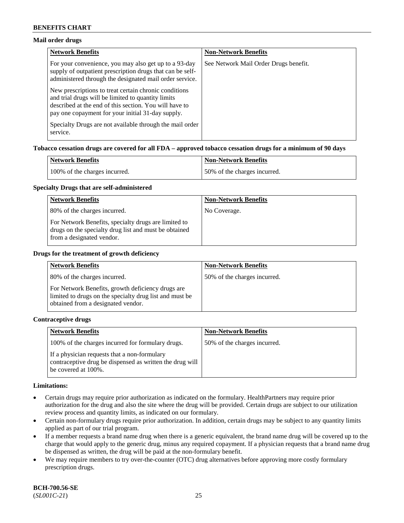## **Mail order drugs**

| <b>Network Benefits</b>                                                                                                                                                                                                    | <b>Non-Network Benefits</b>           |
|----------------------------------------------------------------------------------------------------------------------------------------------------------------------------------------------------------------------------|---------------------------------------|
| For your convenience, you may also get up to a 93-day<br>supply of outpatient prescription drugs that can be self-<br>administered through the designated mail order service.                                              | See Network Mail Order Drugs benefit. |
| New prescriptions to treat certain chronic conditions<br>and trial drugs will be limited to quantity limits<br>described at the end of this section. You will have to<br>pay one copayment for your initial 31-day supply. |                                       |
| Specialty Drugs are not available through the mail order<br>service.                                                                                                                                                       |                                       |

#### **Tobacco cessation drugs are covered for all FDA – approved tobacco cessation drugs for a minimum of 90 days**

| Network Benefits              | Non-Network Benefits         |
|-------------------------------|------------------------------|
| 100% of the charges incurred. | 50% of the charges incurred. |

#### **Specialty Drugs that are self-administered**

| <b>Network Benefits</b>                                                                                                                    | <b>Non-Network Benefits</b> |
|--------------------------------------------------------------------------------------------------------------------------------------------|-----------------------------|
| 80% of the charges incurred.                                                                                                               | No Coverage.                |
| For Network Benefits, specialty drugs are limited to<br>drugs on the specialty drug list and must be obtained<br>from a designated vendor. |                             |

#### **Drugs for the treatment of growth deficiency**

| <b>Network Benefits</b>                                                                                                                            | <b>Non-Network Benefits</b>  |
|----------------------------------------------------------------------------------------------------------------------------------------------------|------------------------------|
| 80% of the charges incurred.                                                                                                                       | 50% of the charges incurred. |
| For Network Benefits, growth deficiency drugs are<br>limited to drugs on the specialty drug list and must be<br>obtained from a designated vendor. |                              |

## **Contraceptive drugs**

| <b>Network Benefits</b>                                                                                                         | <b>Non-Network Benefits</b>  |
|---------------------------------------------------------------------------------------------------------------------------------|------------------------------|
| 100% of the charges incurred for formulary drugs.                                                                               | 50% of the charges incurred. |
| If a physician requests that a non-formulary<br>contraceptive drug be dispensed as written the drug will<br>be covered at 100%. |                              |

#### **Limitations:**

- Certain drugs may require prior authorization as indicated on the formulary. HealthPartners may require prior authorization for the drug and also the site where the drug will be provided. Certain drugs are subject to our utilization review process and quantity limits, as indicated on our formulary.
- Certain non-formulary drugs require prior authorization. In addition, certain drugs may be subject to any quantity limits applied as part of our trial program.
- If a member requests a brand name drug when there is a generic equivalent, the brand name drug will be covered up to the charge that would apply to the generic drug, minus any required copayment. If a physician requests that a brand name drug be dispensed as written, the drug will be paid at the non-formulary benefit.
- We may require members to try over-the-counter (OTC) drug alternatives before approving more costly formulary prescription drugs.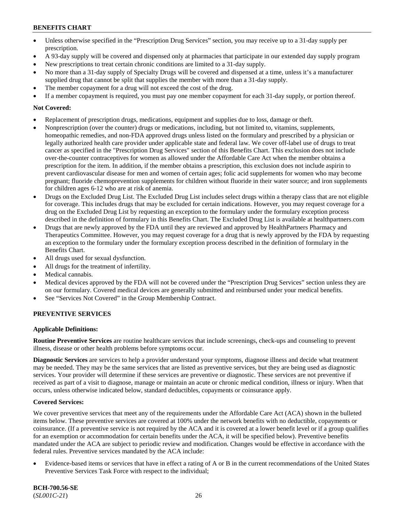- Unless otherwise specified in the "Prescription Drug Services" section, you may receive up to a 31-day supply per prescription.
- A 93-day supply will be covered and dispensed only at pharmacies that participate in our extended day supply program
- New prescriptions to treat certain chronic conditions are limited to a 31-day supply.
- No more than a 31-day supply of Specialty Drugs will be covered and dispensed at a time, unless it's a manufacturer supplied drug that cannot be split that supplies the member with more than a 31-day supply.
- The member copayment for a drug will not exceed the cost of the drug.
- If a member copayment is required, you must pay one member copayment for each 31-day supply, or portion thereof.

## **Not Covered:**

- Replacement of prescription drugs, medications, equipment and supplies due to loss, damage or theft.
- Nonprescription (over the counter) drugs or medications, including, but not limited to, vitamins, supplements, homeopathic remedies, and non-FDA approved drugs unless listed on the formulary and prescribed by a physician or legally authorized health care provider under applicable state and federal law. We cover off-label use of drugs to treat cancer as specified in the "Prescription Drug Services" section of this Benefits Chart. This exclusion does not include over-the-counter contraceptives for women as allowed under the Affordable Care Act when the member obtains a prescription for the item. In addition, if the member obtains a prescription, this exclusion does not include aspirin to prevent cardiovascular disease for men and women of certain ages; folic acid supplements for women who may become pregnant; fluoride chemoprevention supplements for children without fluoride in their water source; and iron supplements for children ages 6-12 who are at risk of anemia.
- Drugs on the Excluded Drug List. The Excluded Drug List includes select drugs within a therapy class that are not eligible for coverage. This includes drugs that may be excluded for certain indications. However, you may request coverage for a drug on the Excluded Drug List by requesting an exception to the formulary under the formulary exception process described in the definition of formulary in this Benefits Chart. The Excluded Drug List is available at [healthpartners.com](http://www.healthpartners.com/)
- Drugs that are newly approved by the FDA until they are reviewed and approved by HealthPartners Pharmacy and Therapeutics Committee. However, you may request coverage for a drug that is newly approved by the FDA by requesting an exception to the formulary under the formulary exception process described in the definition of formulary in the Benefits Chart.
- All drugs used for sexual dysfunction.
- All drugs for the treatment of infertility.
- Medical cannabis.
- Medical devices approved by the FDA will not be covered under the "Prescription Drug Services" section unless they are on our formulary. Covered medical devices are generally submitted and reimbursed under your medical benefits.
- See "Services Not Covered" in the Group Membership Contract.

## **PREVENTIVE SERVICES**

## **Applicable Definitions:**

**Routine Preventive Services** are routine healthcare services that include screenings, check-ups and counseling to prevent illness, disease or other health problems before symptoms occur.

**Diagnostic Services** are services to help a provider understand your symptoms, diagnose illness and decide what treatment may be needed. They may be the same services that are listed as preventive services, but they are being used as diagnostic services. Your provider will determine if these services are preventive or diagnostic. These services are not preventive if received as part of a visit to diagnose, manage or maintain an acute or chronic medical condition, illness or injury. When that occurs, unless otherwise indicated below, standard deductibles, copayments or coinsurance apply.

## **Covered Services:**

We cover preventive services that meet any of the requirements under the Affordable Care Act (ACA) shown in the bulleted items below. These preventive services are covered at 100% under the network benefits with no deductible, copayments or coinsurance. (If a preventive service is not required by the ACA and it is covered at a lower benefit level or if a group qualifies for an exemption or accommodation for certain benefits under the ACA, it will be specified below). Preventive benefits mandated under the ACA are subject to periodic review and modification. Changes would be effective in accordance with the federal rules. Preventive services mandated by the ACA include:

• Evidence-based items or services that have in effect a rating of A or B in the current recommendations of the United States Preventive Services Task Force with respect to the individual;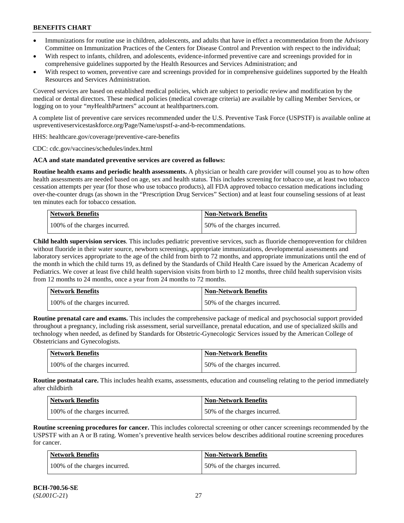- Immunizations for routine use in children, adolescents, and adults that have in effect a recommendation from the Advisory Committee on Immunization Practices of the Centers for Disease Control and Prevention with respect to the individual;
- With respect to infants, children, and adolescents, evidence-informed preventive care and screenings provided for in comprehensive guidelines supported by the Health Resources and Services Administration; and
- With respect to women, preventive care and screenings provided for in comprehensive guidelines supported by the Health Resources and Services Administration.

Covered services are based on established medical policies, which are subject to periodic review and modification by the medical or dental directors. These medical policies (medical coverage criteria) are available by calling Member Services, or logging on to your "*my*HealthPartners" account at [healthpartners.com.](http://www.healthpartners.com/)

A complete list of preventive care services recommended under the U.S. Preventive Task Force (USPSTF) is available online at [uspreventiveservicestaskforce.org/Page/Name/uspstf-a-and-b-recommendations.](https://www.uspreventiveservicestaskforce.org/Page/Name/uspstf-a-and-b-recommendations-by-date/)

HHS: [healthcare.gov/coverage/preventive-care-benefits](https://www.healthcare.gov/coverage/preventive-care-benefits/)

CDC: [cdc.gov/vaccines/schedules/index.html](https://www.cdc.gov/vaccines/schedules/index.html)

#### **ACA and state mandated preventive services are covered as follows:**

**Routine health exams and periodic health assessments.** A physician or health care provider will counsel you as to how often health assessments are needed based on age, sex and health status. This includes screening for tobacco use, at least two tobacco cessation attempts per year (for those who use tobacco products), all FDA approved tobacco cessation medications including over-the-counter drugs (as shown in the "Prescription Drug Services" Section) and at least four counseling sessions of at least ten minutes each for tobacco cessation.

| Network Benefits              | <b>Non-Network Benefits</b>  |
|-------------------------------|------------------------------|
| 100% of the charges incurred. | 50% of the charges incurred. |

**Child health supervision services**. This includes pediatric preventive services, such as fluoride chemoprevention for children without fluoride in their water source, newborn screenings, appropriate immunizations, developmental assessments and laboratory services appropriate to the age of the child from birth to 72 months, and appropriate immunizations until the end of the month in which the child turns 19, as defined by the Standards of Child Health Care issued by the American Academy of Pediatrics. We cover at least five child health supervision visits from birth to 12 months, three child health supervision visits from 12 months to 24 months, once a year from 24 months to 72 months.

| Network Benefits              | <b>Non-Network Benefits</b>  |
|-------------------------------|------------------------------|
| 100% of the charges incurred. | 50% of the charges incurred. |

**Routine prenatal care and exams.** This includes the comprehensive package of medical and psychosocial support provided throughout a pregnancy, including risk assessment, serial surveillance, prenatal education, and use of specialized skills and technology when needed, as defined by Standards for Obstetric-Gynecologic Services issued by the American College of Obstetricians and Gynecologists.

| Network Benefits              | <b>Non-Network Benefits</b>  |
|-------------------------------|------------------------------|
| 100% of the charges incurred. | 50% of the charges incurred. |

**Routine postnatal care.** This includes health exams, assessments, education and counseling relating to the period immediately after childbirth

| <b>Network Benefits</b>       | <b>Non-Network Benefits</b>  |
|-------------------------------|------------------------------|
| 100% of the charges incurred. | 50% of the charges incurred. |

**Routine screening procedures for cancer.** This includes colorectal screening or other cancer screenings recommended by the USPSTF with an A or B rating. Women's preventive health services below describes additional routine screening procedures for cancer.

| Network Benefits              | <b>Non-Network Benefits</b>  |
|-------------------------------|------------------------------|
| 100% of the charges incurred. | 50% of the charges incurred. |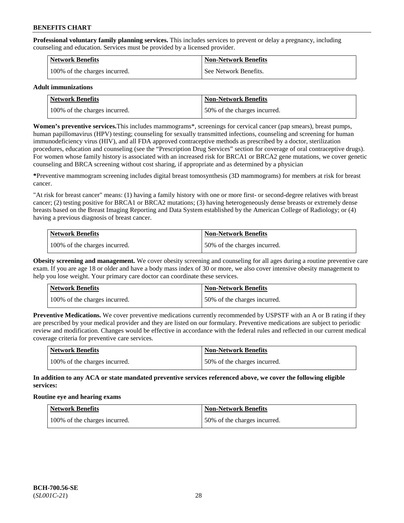**Professional voluntary family planning services.** This includes services to prevent or delay a pregnancy, including counseling and education. Services must be provided by a licensed provider.

| <b>Network Benefits</b>       | <b>Non-Network Benefits</b> |
|-------------------------------|-----------------------------|
| 100% of the charges incurred. | See Network Benefits.       |

#### **Adult immunizations**

| Network Benefits              | <b>Non-Network Benefits</b>  |
|-------------------------------|------------------------------|
| 100% of the charges incurred. | 50% of the charges incurred. |

**Women's preventive services.**This includes mammograms\*, screenings for cervical cancer (pap smears), breast pumps, human papillomavirus (HPV) testing; counseling for sexually transmitted infections, counseling and screening for human immunodeficiency virus (HIV), and all FDA approved contraceptive methods as prescribed by a doctor, sterilization procedures, education and counseling (see the "Prescription Drug Services" section for coverage of oral contraceptive drugs). For women whose family history is associated with an increased risk for BRCA1 or BRCA2 gene mutations, we cover genetic counseling and BRCA screening without cost sharing, if appropriate and as determined by a physician

**\***Preventive mammogram screening includes digital breast tomosynthesis (3D mammograms) for members at risk for breast cancer.

"At risk for breast cancer" means: (1) having a family history with one or more first- or second-degree relatives with breast cancer; (2) testing positive for BRCA1 or BRCA2 mutations; (3) having heterogeneously dense breasts or extremely dense breasts based on the Breast Imaging Reporting and Data System established by the American College of Radiology; or (4) having a previous diagnosis of breast cancer.

| Network Benefits              | <b>Non-Network Benefits</b>  |
|-------------------------------|------------------------------|
| 100% of the charges incurred. | 50% of the charges incurred. |

**Obesity screening and management.** We cover obesity screening and counseling for all ages during a routine preventive care exam. If you are age 18 or older and have a body mass index of 30 or more, we also cover intensive obesity management to help you lose weight. Your primary care doctor can coordinate these services.

| Network Benefits              | <b>Non-Network Benefits</b>  |
|-------------------------------|------------------------------|
| 100% of the charges incurred. | 50% of the charges incurred. |

**Preventive Medications.** We cover preventive medications currently recommended by USPSTF with an A or B rating if they are prescribed by your medical provider and they are listed on our formulary. Preventive medications are subject to periodic review and modification. Changes would be effective in accordance with the federal rules and reflected in our current medical coverage criteria for preventive care services.

| <b>Network Benefits</b>       | Non-Network Benefits         |
|-------------------------------|------------------------------|
| 100% of the charges incurred. | 50% of the charges incurred. |

**In addition to any ACA or state mandated preventive services referenced above, we cover the following eligible services:**

#### **Routine eye and hearing exams**

| <b>Network Benefits</b>       | <b>Non-Network Benefits</b>  |
|-------------------------------|------------------------------|
| 100% of the charges incurred. | 50% of the charges incurred. |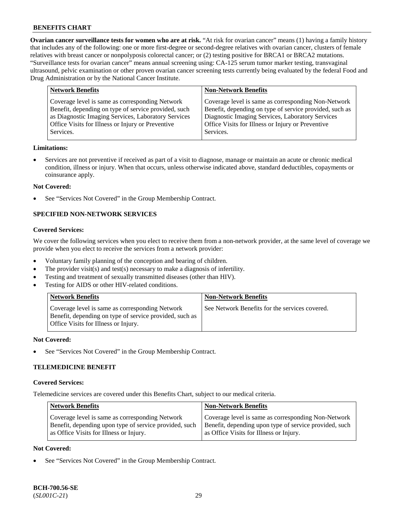**Ovarian cancer surveillance tests for women who are at risk.** "At risk for ovarian cancer" means (1) having a family history that includes any of the following: one or more first-degree or second-degree relatives with ovarian cancer, clusters of female relatives with breast cancer or nonpolyposis colorectal cancer; or (2) testing positive for BRCA1 or BRCA2 mutations. "Surveillance tests for ovarian cancer" means annual screening using: CA-125 serum tumor marker testing, transvaginal ultrasound, pelvic examination or other proven ovarian cancer screening tests currently being evaluated by the federal Food and Drug Administration or by the National Cancer Institute.

| <b>Network Benefits</b>                              | <b>Non-Network Benefits</b>                             |
|------------------------------------------------------|---------------------------------------------------------|
| Coverage level is same as corresponding Network      | Coverage level is same as corresponding Non-Network     |
| Benefit, depending on type of service provided, such | Benefit, depending on type of service provided, such as |
| as Diagnostic Imaging Services, Laboratory Services  | Diagnostic Imaging Services, Laboratory Services        |
| Office Visits for Illness or Injury or Preventive    | Office Visits for Illness or Injury or Preventive       |
| Services.                                            | Services.                                               |

#### **Limitations:**

• Services are not preventive if received as part of a visit to diagnose, manage or maintain an acute or chronic medical condition, illness or injury. When that occurs, unless otherwise indicated above, standard deductibles, copayments or coinsurance apply.

#### **Not Covered:**

See "Services Not Covered" in the Group Membership Contract.

# **SPECIFIED NON-NETWORK SERVICES**

# **Covered Services:**

We cover the following services when you elect to receive them from a non-network provider, at the same level of coverage we provide when you elect to receive the services from a network provider:

- Voluntary family planning of the conception and bearing of children.
- The provider visit(s) and test(s) necessary to make a diagnosis of infertility.
- Testing and treatment of sexually transmitted diseases (other than HIV).
- Testing for AIDS or other HIV-related conditions.

| <b>Network Benefits</b>                                                                                                                            | <b>Non-Network Benefits</b>                    |
|----------------------------------------------------------------------------------------------------------------------------------------------------|------------------------------------------------|
| Coverage level is same as corresponding Network<br>Benefit, depending on type of service provided, such as<br>Office Visits for Illness or Injury. | See Network Benefits for the services covered. |

#### **Not Covered:**

See "Services Not Covered" in the Group Membership Contract.

# **TELEMEDICINE BENEFIT**

#### **Covered Services:**

Telemedicine services are covered under this Benefits Chart, subject to our medical criteria.

| <b>Network Benefits</b>                                | <b>Non-Network Benefits</b>                            |
|--------------------------------------------------------|--------------------------------------------------------|
| Coverage level is same as corresponding Network        | Coverage level is same as corresponding Non-Network    |
| Benefit, depending upon type of service provided, such | Benefit, depending upon type of service provided, such |
| as Office Visits for Illness or Injury.                | as Office Visits for Illness or Injury.                |

#### **Not Covered:**

See "Services Not Covered" in the Group Membership Contract.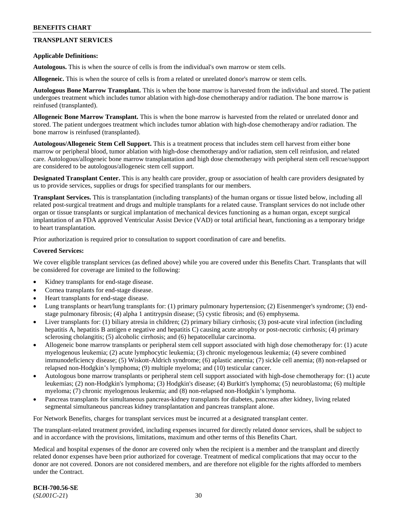# **TRANSPLANT SERVICES**

#### **Applicable Definitions:**

**Autologous.** This is when the source of cells is from the individual's own marrow or stem cells.

**Allogeneic.** This is when the source of cells is from a related or unrelated donor's marrow or stem cells.

**Autologous Bone Marrow Transplant.** This is when the bone marrow is harvested from the individual and stored. The patient undergoes treatment which includes tumor ablation with high-dose chemotherapy and/or radiation. The bone marrow is reinfused (transplanted).

**Allogeneic Bone Marrow Transplant.** This is when the bone marrow is harvested from the related or unrelated donor and stored. The patient undergoes treatment which includes tumor ablation with high-dose chemotherapy and/or radiation. The bone marrow is reinfused (transplanted).

**Autologous/Allogeneic Stem Cell Support.** This is a treatment process that includes stem cell harvest from either bone marrow or peripheral blood, tumor ablation with high-dose chemotherapy and/or radiation, stem cell reinfusion, and related care. Autologous/allogeneic bone marrow transplantation and high dose chemotherapy with peripheral stem cell rescue/support are considered to be autologous/allogeneic stem cell support.

**Designated Transplant Center.** This is any health care provider, group or association of health care providers designated by us to provide services, supplies or drugs for specified transplants for our members.

**Transplant Services.** This is transplantation (including transplants) of the human organs or tissue listed below, including all related post-surgical treatment and drugs and multiple transplants for a related cause. Transplant services do not include other organ or tissue transplants or surgical implantation of mechanical devices functioning as a human organ, except surgical implantation of an FDA approved Ventricular Assist Device (VAD) or total artificial heart, functioning as a temporary bridge to heart transplantation.

Prior authorization is required prior to consultation to support coordination of care and benefits.

#### **Covered Services:**

We cover eligible transplant services (as defined above) while you are covered under this Benefits Chart. Transplants that will be considered for coverage are limited to the following:

- Kidney transplants for end-stage disease.
- Cornea transplants for end-stage disease.
- Heart transplants for end-stage disease.
- Lung transplants or heart/lung transplants for: (1) primary pulmonary hypertension; (2) Eisenmenger's syndrome; (3) endstage pulmonary fibrosis; (4) alpha 1 antitrypsin disease; (5) cystic fibrosis; and (6) emphysema.
- Liver transplants for: (1) biliary atresia in children; (2) primary biliary cirrhosis; (3) post-acute viral infection (including hepatitis A, hepatitis B antigen e negative and hepatitis C) causing acute atrophy or post-necrotic cirrhosis; (4) primary sclerosing cholangitis; (5) alcoholic cirrhosis; and (6) hepatocellular carcinoma.
- Allogeneic bone marrow transplants or peripheral stem cell support associated with high dose chemotherapy for: (1) acute myelogenous leukemia; (2) acute lymphocytic leukemia; (3) chronic myelogenous leukemia; (4) severe combined immunodeficiency disease; (5) Wiskott-Aldrich syndrome; (6) aplastic anemia; (7) sickle cell anemia; (8) non-relapsed or relapsed non-Hodgkin's lymphoma; (9) multiple myeloma; and (10) testicular cancer.
- Autologous bone marrow transplants or peripheral stem cell support associated with high-dose chemotherapy for: (1) acute leukemias; (2) non-Hodgkin's lymphoma; (3) Hodgkin's disease; (4) Burkitt's lymphoma; (5) neuroblastoma; (6) multiple myeloma; (7) chronic myelogenous leukemia; and (8) non-relapsed non-Hodgkin's lymphoma.
- Pancreas transplants for simultaneous pancreas-kidney transplants for diabetes, pancreas after kidney, living related segmental simultaneous pancreas kidney transplantation and pancreas transplant alone.

For Network Benefits, charges for transplant services must be incurred at a designated transplant center.

The transplant-related treatment provided, including expenses incurred for directly related donor services, shall be subject to and in accordance with the provisions, limitations, maximum and other terms of this Benefits Chart.

Medical and hospital expenses of the donor are covered only when the recipient is a member and the transplant and directly related donor expenses have been prior authorized for coverage. Treatment of medical complications that may occur to the donor are not covered. Donors are not considered members, and are therefore not eligible for the rights afforded to members under the Contract.